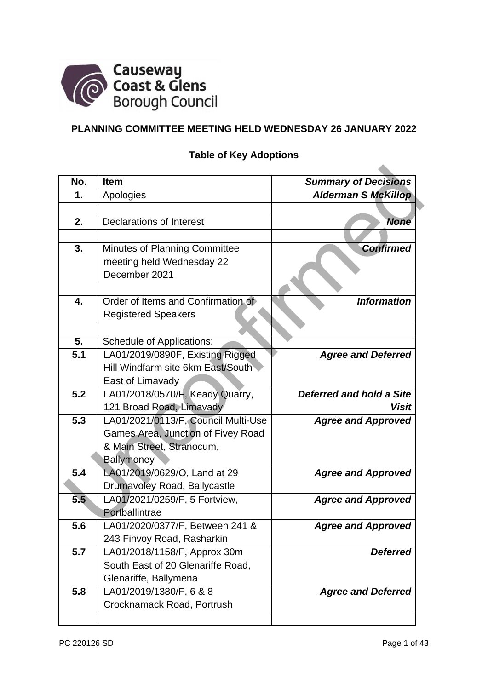

# **PLANNING COMMITTEE MEETING HELD WEDNESDAY 26 JANUARY 2022**

# **Table of Key Adoptions**

| No.                                                                                                                                                                                                                                                                                                                                                                                                                                                                                                                                                                                                                                                                                                                                                                                                                                                 |
|-----------------------------------------------------------------------------------------------------------------------------------------------------------------------------------------------------------------------------------------------------------------------------------------------------------------------------------------------------------------------------------------------------------------------------------------------------------------------------------------------------------------------------------------------------------------------------------------------------------------------------------------------------------------------------------------------------------------------------------------------------------------------------------------------------------------------------------------------------|
| 1.                                                                                                                                                                                                                                                                                                                                                                                                                                                                                                                                                                                                                                                                                                                                                                                                                                                  |
|                                                                                                                                                                                                                                                                                                                                                                                                                                                                                                                                                                                                                                                                                                                                                                                                                                                     |
| 2.                                                                                                                                                                                                                                                                                                                                                                                                                                                                                                                                                                                                                                                                                                                                                                                                                                                  |
|                                                                                                                                                                                                                                                                                                                                                                                                                                                                                                                                                                                                                                                                                                                                                                                                                                                     |
| 3.                                                                                                                                                                                                                                                                                                                                                                                                                                                                                                                                                                                                                                                                                                                                                                                                                                                  |
|                                                                                                                                                                                                                                                                                                                                                                                                                                                                                                                                                                                                                                                                                                                                                                                                                                                     |
|                                                                                                                                                                                                                                                                                                                                                                                                                                                                                                                                                                                                                                                                                                                                                                                                                                                     |
|                                                                                                                                                                                                                                                                                                                                                                                                                                                                                                                                                                                                                                                                                                                                                                                                                                                     |
| 4.                                                                                                                                                                                                                                                                                                                                                                                                                                                                                                                                                                                                                                                                                                                                                                                                                                                  |
|                                                                                                                                                                                                                                                                                                                                                                                                                                                                                                                                                                                                                                                                                                                                                                                                                                                     |
|                                                                                                                                                                                                                                                                                                                                                                                                                                                                                                                                                                                                                                                                                                                                                                                                                                                     |
| 5.                                                                                                                                                                                                                                                                                                                                                                                                                                                                                                                                                                                                                                                                                                                                                                                                                                                  |
| 5.1                                                                                                                                                                                                                                                                                                                                                                                                                                                                                                                                                                                                                                                                                                                                                                                                                                                 |
|                                                                                                                                                                                                                                                                                                                                                                                                                                                                                                                                                                                                                                                                                                                                                                                                                                                     |
|                                                                                                                                                                                                                                                                                                                                                                                                                                                                                                                                                                                                                                                                                                                                                                                                                                                     |
| 5.2                                                                                                                                                                                                                                                                                                                                                                                                                                                                                                                                                                                                                                                                                                                                                                                                                                                 |
|                                                                                                                                                                                                                                                                                                                                                                                                                                                                                                                                                                                                                                                                                                                                                                                                                                                     |
| 5.3                                                                                                                                                                                                                                                                                                                                                                                                                                                                                                                                                                                                                                                                                                                                                                                                                                                 |
|                                                                                                                                                                                                                                                                                                                                                                                                                                                                                                                                                                                                                                                                                                                                                                                                                                                     |
|                                                                                                                                                                                                                                                                                                                                                                                                                                                                                                                                                                                                                                                                                                                                                                                                                                                     |
|                                                                                                                                                                                                                                                                                                                                                                                                                                                                                                                                                                                                                                                                                                                                                                                                                                                     |
| 5.4                                                                                                                                                                                                                                                                                                                                                                                                                                                                                                                                                                                                                                                                                                                                                                                                                                                 |
|                                                                                                                                                                                                                                                                                                                                                                                                                                                                                                                                                                                                                                                                                                                                                                                                                                                     |
| 5.5                                                                                                                                                                                                                                                                                                                                                                                                                                                                                                                                                                                                                                                                                                                                                                                                                                                 |
|                                                                                                                                                                                                                                                                                                                                                                                                                                                                                                                                                                                                                                                                                                                                                                                                                                                     |
| 5.6                                                                                                                                                                                                                                                                                                                                                                                                                                                                                                                                                                                                                                                                                                                                                                                                                                                 |
|                                                                                                                                                                                                                                                                                                                                                                                                                                                                                                                                                                                                                                                                                                                                                                                                                                                     |
| 5.7                                                                                                                                                                                                                                                                                                                                                                                                                                                                                                                                                                                                                                                                                                                                                                                                                                                 |
|                                                                                                                                                                                                                                                                                                                                                                                                                                                                                                                                                                                                                                                                                                                                                                                                                                                     |
|                                                                                                                                                                                                                                                                                                                                                                                                                                                                                                                                                                                                                                                                                                                                                                                                                                                     |
| 5.8                                                                                                                                                                                                                                                                                                                                                                                                                                                                                                                                                                                                                                                                                                                                                                                                                                                 |
|                                                                                                                                                                                                                                                                                                                                                                                                                                                                                                                                                                                                                                                                                                                                                                                                                                                     |
| <b>Item</b><br>Apologies<br><b>Declarations of Interest</b><br>Minutes of Planning Committee<br>meeting held Wednesday 22<br>December 2021<br>Order of Items and Confirmation of<br><b>Registered Speakers</b><br><b>Schedule of Applications:</b><br>LA01/2019/0890F, Existing Rigged<br>Hill Windfarm site 6km East/South<br>East of Limavady<br>LA01/2018/0570/F, Keady Quarry,<br>121 Broad Road, Limavady<br>LA01/2021/0113/F, Council Multi-Use<br>Games Area, Junction of Fivey Road<br>& Main Street, Stranocum,<br>Ballymoney<br>LA01/2019/0629/O, Land at 29<br>Drumavoley Road, Ballycastle<br>LA01/2021/0259/F, 5 Fortview,<br>Portballintrae<br>LA01/2020/0377/F, Between 241 &<br>243 Finvoy Road, Rasharkin<br>LA01/2018/1158/F, Approx 30m<br>South East of 20 Glenariffe Road,<br>Glenariffe, Ballymena<br>LA01/2019/1380/F, 6 & 8 |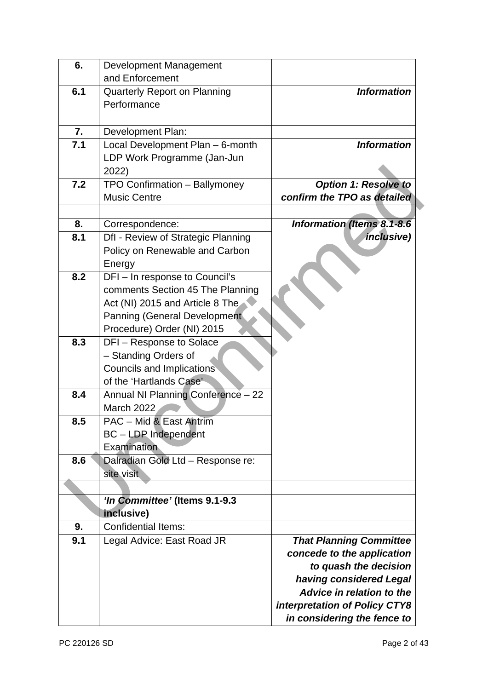| 6.  | <b>Development Management</b>        |                                   |
|-----|--------------------------------------|-----------------------------------|
|     | and Enforcement                      |                                   |
| 6.1 | <b>Quarterly Report on Planning</b>  | <b>Information</b>                |
|     | Performance                          |                                   |
|     |                                      |                                   |
| 7.  | Development Plan:                    |                                   |
| 7.1 | Local Development Plan - 6-month     | <b>Information</b>                |
|     | LDP Work Programme (Jan-Jun          |                                   |
|     | 2022)                                |                                   |
| 7.2 | TPO Confirmation - Ballymoney        | <b>Option 1: Resolve to</b>       |
|     | <b>Music Centre</b>                  | confirm the TPO as detailed       |
|     |                                      |                                   |
| 8.  | Correspondence:                      | <b>Information (Items 8.1-8.6</b> |
| 8.1 | Dfl - Review of Strategic Planning   | inclusive)                        |
|     | Policy on Renewable and Carbon       |                                   |
|     | Energy                               |                                   |
| 8.2 | DFI-In response to Council's         |                                   |
|     | comments Section 45 The Planning     |                                   |
|     | Act (NI) 2015 and Article 8 The      |                                   |
|     | <b>Panning (General Development)</b> |                                   |
|     | Procedure) Order (NI) 2015           |                                   |
| 8.3 | DFI-Response to Solace               |                                   |
|     | - Standing Orders of                 |                                   |
|     | Councils and Implications            |                                   |
|     | of the 'Hartlands Case'              |                                   |
| 8.4 | Annual NI Planning Conference - 22   |                                   |
|     | <b>March 2022</b>                    |                                   |
| 8.5 | PAC - Mid & East Antrim              |                                   |
|     | <b>BC</b> - LDP Independent          |                                   |
|     | Examination                          |                                   |
| 8.6 | Dalradian Gold Ltd - Response re:    |                                   |
|     | site visit                           |                                   |
|     |                                      |                                   |
|     | 'In Committee' (Items 9.1-9.3        |                                   |
|     | inclusive)                           |                                   |
| 9.  | <b>Confidential Items:</b>           |                                   |
| 9.1 | Legal Advice: East Road JR           | <b>That Planning Committee</b>    |
|     |                                      | concede to the application        |
|     |                                      | to quash the decision             |
|     |                                      | having considered Legal           |
|     |                                      | Advice in relation to the         |
|     |                                      | interpretation of Policy CTY8     |
|     |                                      | in considering the fence to       |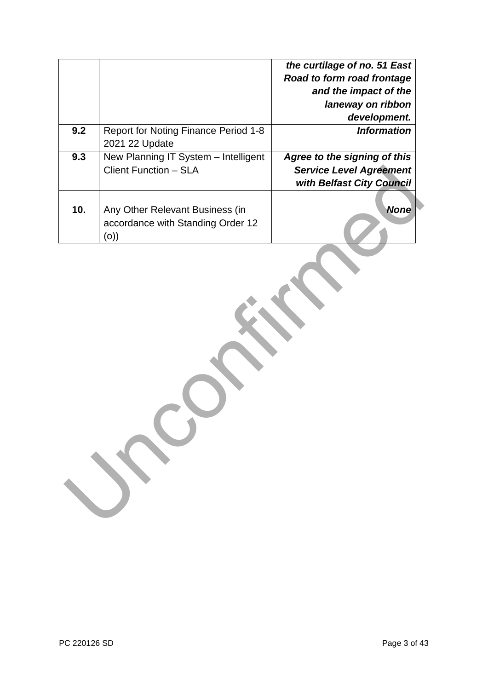|     |                                      | the curtilage of no. 51 East   |
|-----|--------------------------------------|--------------------------------|
|     |                                      | Road to form road frontage     |
|     |                                      | and the impact of the          |
|     |                                      | laneway on ribbon              |
|     |                                      | development.                   |
| 9.2 | Report for Noting Finance Period 1-8 | <b>Information</b>             |
|     | 2021 22 Update                       |                                |
| 9.3 | New Planning IT System - Intelligent | Agree to the signing of this   |
|     | <b>Client Function - SLA</b>         | <b>Service Level Agreement</b> |
|     |                                      | with Belfast City Council      |
|     |                                      |                                |
| 10. | Any Other Relevant Business (in      | <b>None</b>                    |
|     | accordance with Standing Order 12    |                                |
|     | (0)                                  |                                |
|     |                                      |                                |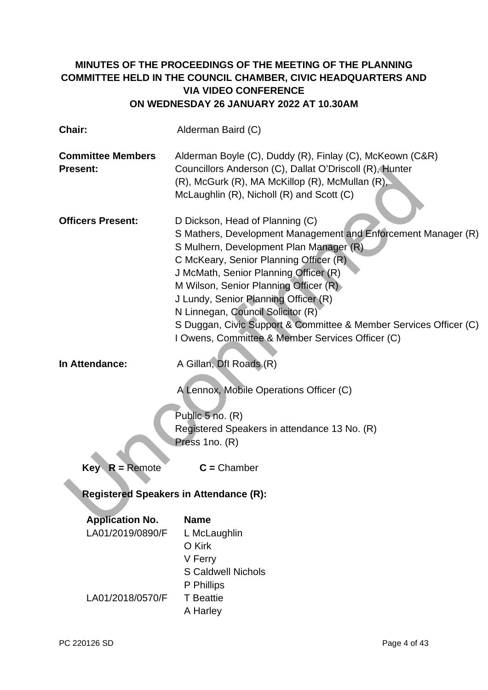# **MINUTES OF THE PROCEEDINGS OF THE MEETING OF THE PLANNING COMMITTEE HELD IN THE COUNCIL CHAMBER, CIVIC HEADQUARTERS AND VIA VIDEO CONFERENCE ON WEDNESDAY 26 JANUARY 2022 AT 10.30AM**

| Chair:                                        | Alderman Baird (C)                                                                                                                                                                                                                                                                                                                                                                                                                                                            |  |  |
|-----------------------------------------------|-------------------------------------------------------------------------------------------------------------------------------------------------------------------------------------------------------------------------------------------------------------------------------------------------------------------------------------------------------------------------------------------------------------------------------------------------------------------------------|--|--|
| <b>Committee Members</b><br><b>Present:</b>   | Alderman Boyle (C), Duddy (R), Finlay (C), McKeown (C&R)<br>Councillors Anderson (C), Dallat O'Driscoll (R), Hunter<br>(R), McGurk (R), MA McKillop (R), McMullan (R),<br>McLaughlin (R), Nicholl (R) and Scott (C)                                                                                                                                                                                                                                                           |  |  |
| <b>Officers Present:</b>                      | D Dickson, Head of Planning (C)<br>S Mathers, Development Management and Enforcement Manager (R)<br>S Mulhern, Development Plan Manager (R)<br>C McKeary, Senior Planning Officer (R)<br>J McMath, Senior Planning Officer (R)<br>M Wilson, Senior Planning Officer (R)<br>J Lundy, Senior Planning Officer (R)<br>N Linnegan, Council Solicitor (R)<br>S Duggan, Civic Support & Committee & Member Services Officer (C)<br>I Owens, Committee & Member Services Officer (C) |  |  |
| In Attendance:                                | A Gillan, Dfl Roads (R)<br>A Lennox, Mobile Operations Officer (C)<br>Public 5 no. (R)<br>Registered Speakers in attendance 13 No. (R)<br>Press 1no. (R)                                                                                                                                                                                                                                                                                                                      |  |  |
| $R =$ Remote<br>Key                           | $C =$ Chamber                                                                                                                                                                                                                                                                                                                                                                                                                                                                 |  |  |
| <b>Registered Speakers in Attendance (R):</b> |                                                                                                                                                                                                                                                                                                                                                                                                                                                                               |  |  |
| <b>Application No.</b><br>LA01/2019/0890/F    | <b>Name</b><br>L McLaughlin<br>O Kirk<br>V Ferry<br><b>S Caldwell Nichols</b><br>P Phillips                                                                                                                                                                                                                                                                                                                                                                                   |  |  |
| LA01/2018/0570/F                              | <b>T</b> Beattie<br>A Harley                                                                                                                                                                                                                                                                                                                                                                                                                                                  |  |  |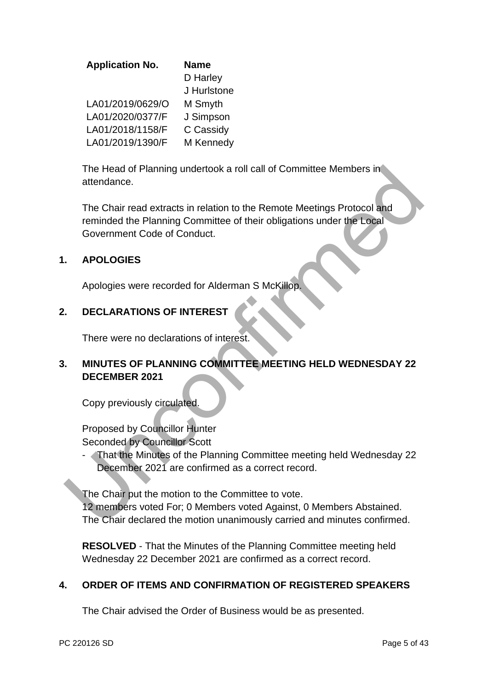| <b>Application No.</b> | <b>Name</b> |
|------------------------|-------------|
|                        | D Harley    |
|                        | J Hurlstone |
| LA01/2019/0629/O       | M Smyth     |
| LA01/2020/0377/F       | J Simpson   |
| LA01/2018/1158/F       | C Cassidy   |
| LA01/2019/1390/F       | M Kennedy   |

The Head of Planning undertook a roll call of Committee Members in attendance.

The Chair read extracts in relation to the Remote Meetings Protocol and reminded the Planning Committee of their obligations under the Local Government Code of Conduct. The Head of Planning undertook a roll call of Committee Members in<br>
attendance.<br>
The Chair read extracts in relation to the Remote Meetings Protocol and<br>
covernment Code of Conduct.<br>
Covernment Code of Conduct.<br>
APOLOGIES<br>

# **1. APOLOGIES**

Apologies were recorded for Alderman S McKillop.

# **2. DECLARATIONS OF INTEREST**

There were no declarations of interest.

# **3. MINUTES OF PLANNING COMMITTEE MEETING HELD WEDNESDAY 22 DECEMBER 2021**

Copy previously circulated.

Proposed by Councillor Hunter Seconded by Councillor Scott

- That the Minutes of the Planning Committee meeting held Wednesday 22 December 2021 are confirmed as a correct record.

The Chair put the motion to the Committee to vote.

12 members voted For; 0 Members voted Against, 0 Members Abstained. The Chair declared the motion unanimously carried and minutes confirmed.

**RESOLVED** - That the Minutes of the Planning Committee meeting held Wednesday 22 December 2021 are confirmed as a correct record.

# **4. ORDER OF ITEMS AND CONFIRMATION OF REGISTERED SPEAKERS**

The Chair advised the Order of Business would be as presented.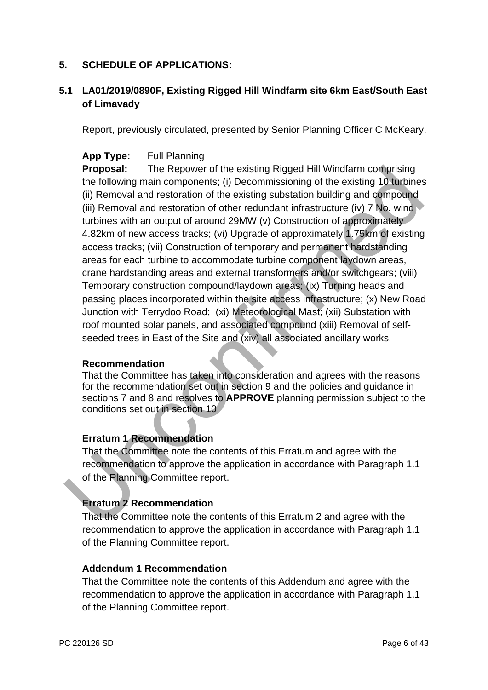## **5. SCHEDULE OF APPLICATIONS:**

# **5.1 LA01/2019/0890F, Existing Rigged Hill Windfarm site 6km East/South East of Limavady**

Report, previously circulated, presented by Senior Planning Officer C McKeary.

## **App Type:** Full Planning

**Proposal:** The Repower of the existing Rigged Hill Windfarm comprising the following main components; (i) Decommissioning of the existing 10 turbines (ii) Removal and restoration of the existing substation building and compound (iii) Removal and restoration of other redundant infrastructure (iv) 7 No. wind turbines with an output of around 29MW (v) Construction of approximately 4.82km of new access tracks; (vi) Upgrade of approximately 1.75km of existing access tracks; (vii) Construction of temporary and permanent hardstanding areas for each turbine to accommodate turbine component laydown areas, crane hardstanding areas and external transformers and/or switchgears; (viii) Temporary construction compound/laydown areas; (ix) Turning heads and passing places incorporated within the site access infrastructure; (x) New Road Junction with Terrydoo Road; (xi) Meteorological Mast; (xii) Substation with roof mounted solar panels, and associated compound (xiii) Removal of selfseeded trees in East of the Site and (xiv) all associated ancillary works. **Proposal:** The Repower of the existing Rigged Hill Windfarm comprising<br>the following main components; (ii) Decommissioning of the existing 10 tubines with an outly and component<br>(ii) Removal and restoration of the existi

#### **Recommendation**

That the Committee has taken into consideration and agrees with the reasons for the recommendation set out in section 9 and the policies and guidance in sections 7 and 8 and resolves to **APPROVE** planning permission subject to the conditions set out in section 10.

## **Erratum 1 Recommendation**

That the Committee note the contents of this Erratum and agree with the recommendation to approve the application in accordance with Paragraph 1.1 of the Planning Committee report.

## **Erratum 2 Recommendation**

That the Committee note the contents of this Erratum 2 and agree with the recommendation to approve the application in accordance with Paragraph 1.1 of the Planning Committee report.

#### **Addendum 1 Recommendation**

That the Committee note the contents of this Addendum and agree with the recommendation to approve the application in accordance with Paragraph 1.1 of the Planning Committee report.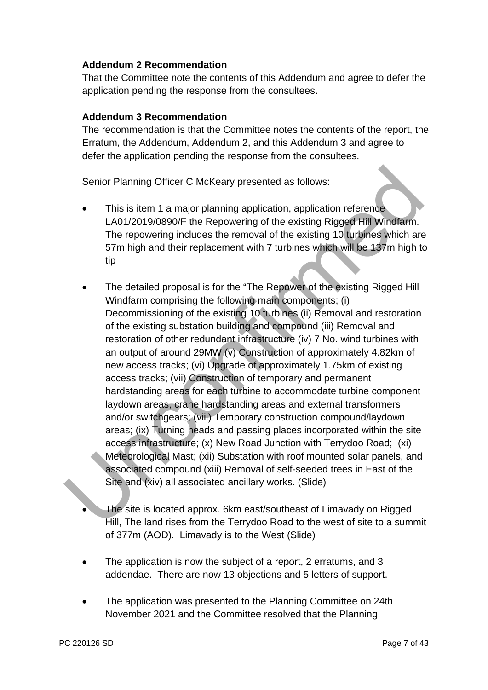## **Addendum 2 Recommendation**

That the Committee note the contents of this Addendum and agree to defer the application pending the response from the consultees.

## **Addendum 3 Recommendation**

The recommendation is that the Committee notes the contents of the report, the Erratum, the Addendum, Addendum 2, and this Addendum 3 and agree to defer the application pending the response from the consultees.

Senior Planning Officer C McKeary presented as follows:

- This is item 1 a major planning application, application reference LA01/2019/0890/F the Repowering of the existing Rigged Hill Windfarm. The repowering includes the removal of the existing 10 turbines which are 57m high and their replacement with 7 turbines which will be 137m high to tip
- The detailed proposal is for the "The Repower of the existing Rigged Hill Windfarm comprising the following main components; (i) Decommissioning of the existing 10 turbines (ii) Removal and restoration of the existing substation building and compound (iii) Removal and restoration of other redundant infrastructure (iv) 7 No. wind turbines with an output of around 29MW (v) Construction of approximately 4.82km of new access tracks; (vi) Upgrade of approximately 1.75km of existing access tracks; (vii) Construction of temporary and permanent hardstanding areas for each turbine to accommodate turbine component laydown areas, crane hardstanding areas and external transformers and/or switchgears; (viii) Temporary construction compound/laydown areas; (ix) Turning heads and passing places incorporated within the site access infrastructure; (x) New Road Junction with Terrydoo Road; (xi) Meteorological Mast; (xii) Substation with roof mounted solar panels, and associated compound (xiii) Removal of self-seeded trees in East of the Site and (xiv) all associated ancillary works. (Slide) Senior Planning Officer C McKeary presented as follows:<br>
This is item 1 a major planning application, application reference<br>
LA01/2019/0890/F the Repowering of the existing Rigged Hill<br>
The repowering includes the removal
	- The site is located approx. 6km east/southeast of Limavady on Rigged Hill, The land rises from the Terrydoo Road to the west of site to a summit of 377m (AOD). Limavady is to the West (Slide)
	- The application is now the subject of a report, 2 erratums, and 3 addendae. There are now 13 objections and 5 letters of support.
	- The application was presented to the Planning Committee on 24th November 2021 and the Committee resolved that the Planning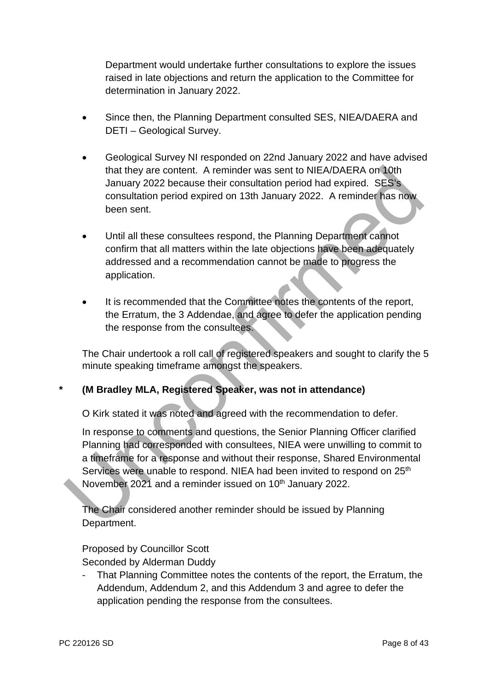Department would undertake further consultations to explore the issues raised in late objections and return the application to the Committee for determination in January 2022.

- Since then, the Planning Department consulted SES, NIEA/DAERA and DETI – Geological Survey.
- Geological Survey NI responded on 22nd January 2022 and have advised that they are content. A reminder was sent to NIEA/DAERA on 10th January 2022 because their consultation period had expired. SES's consultation period expired on 13th January 2022. A reminder has now been sent.
- Until all these consultees respond, the Planning Department cannot confirm that all matters within the late objections have been adequately addressed and a recommendation cannot be made to progress the application.
- It is recommended that the Committee notes the contents of the report, the Erratum, the 3 Addendae, and agree to defer the application pending the response from the consultees.

The Chair undertook a roll call of registered speakers and sought to clarify the 5 minute speaking timeframe amongst the speakers.

**\* (M Bradley MLA, Registered Speaker, was not in attendance)** 

O Kirk stated it was noted and agreed with the recommendation to defer.

In response to comments and questions, the Senior Planning Officer clarified Planning had corresponded with consultees, NIEA were unwilling to commit to a timeframe for a response and without their response, Shared Environmental Services were unable to respond. NIEA had been invited to respond on 25<sup>th</sup> November 2021 and a reminder issued on 10<sup>th</sup> January 2022. that they are content. A reminder was sent to NIEA/DAERA on 10th<br>January 2022 because their consultation period had expired. SES's<br>consultation period expired on 13th January 2022. A reminder has now<br>been sent.<br>Until all t

The Chair considered another reminder should be issued by Planning Department.

# Proposed by Councillor Scott

Seconded by Alderman Duddy

That Planning Committee notes the contents of the report, the Erratum, the Addendum, Addendum 2, and this Addendum 3 and agree to defer the application pending the response from the consultees.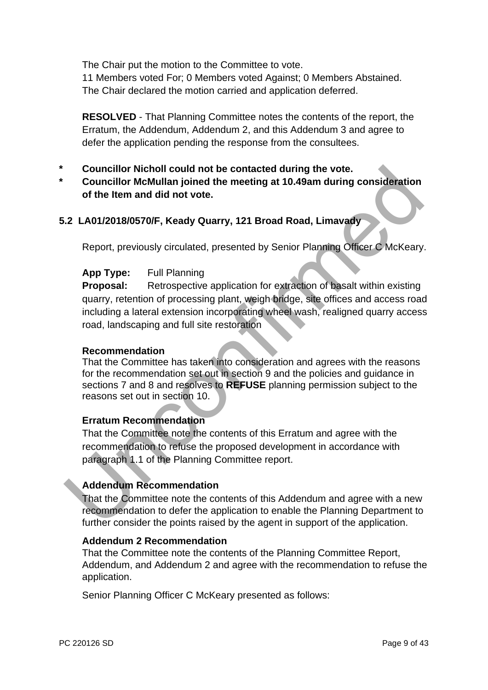The Chair put the motion to the Committee to vote.

11 Members voted For; 0 Members voted Against; 0 Members Abstained. The Chair declared the motion carried and application deferred.

**RESOLVED** - That Planning Committee notes the contents of the report, the Erratum, the Addendum, Addendum 2, and this Addendum 3 and agree to defer the application pending the response from the consultees.

- **\* Councillor Nicholl could not be contacted during the vote.**
- **\* Councillor McMullan joined the meeting at 10.49am during consideration of the Item and did not vote.**

## **5.2 LA01/2018/0570/F, Keady Quarry, 121 Broad Road, Limavady**

Report, previously circulated, presented by Senior Planning Officer C McKeary.

## **App Type:** Full Planning

**Proposal:** Retrospective application for extraction of basalt within existing quarry, retention of processing plant, weigh bridge, site offices and access road including a lateral extension incorporating wheel wash, realigned quarry access road, landscaping and full site restoration Councillor Nicholl could not be contacted during the vote.<br>
Councillor MMullan joined the meeting at 10.49am during consideration<br>
of the Item and did not vote.<br>
2. LA01/2018/0570/F, Keady Quarry, 121 Broad Road, Limavady<br>

#### **Recommendation**

That the Committee has taken into consideration and agrees with the reasons for the recommendation set out in section 9 and the policies and guidance in sections 7 and 8 and resolves to **REFUSE** planning permission subject to the reasons set out in section 10.

#### **Erratum Recommendation**

That the Committee note the contents of this Erratum and agree with the recommendation to refuse the proposed development in accordance with paragraph 1.1 of the Planning Committee report.

# **Addendum Recommendation**

That the Committee note the contents of this Addendum and agree with a new recommendation to defer the application to enable the Planning Department to further consider the points raised by the agent in support of the application.

#### **Addendum 2 Recommendation**

That the Committee note the contents of the Planning Committee Report, Addendum, and Addendum 2 and agree with the recommendation to refuse the application.

Senior Planning Officer C McKeary presented as follows: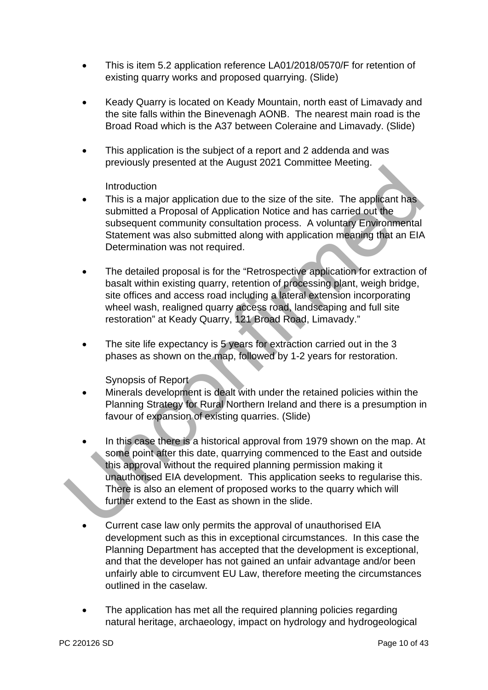- This is item 5.2 application reference LA01/2018/0570/F for retention of existing quarry works and proposed quarrying. (Slide)
- Keady Quarry is located on Keady Mountain, north east of Limavady and the site falls within the Binevenagh AONB. The nearest main road is the Broad Road which is the A37 between Coleraine and Limavady. (Slide)
- This application is the subject of a report and 2 addenda and was previously presented at the August 2021 Committee Meeting.

## **Introduction**

- This is a major application due to the size of the site. The applicant has submitted a Proposal of Application Notice and has carried out the subsequent community consultation process. A voluntary Environmental Statement was also submitted along with application meaning that an EIA Determination was not required.
- The detailed proposal is for the "Retrospective application for extraction of basalt within existing quarry, retention of processing plant, weigh bridge, site offices and access road including a lateral extension incorporating wheel wash, realigned quarry access road, landscaping and full site restoration" at Keady Quarry, 121 Broad Road, Limavady."
- The site life expectancy is 5 years for extraction carried out in the 3 phases as shown on the map, followed by 1-2 years for restoration.

Synopsis of Report

- Minerals development is dealt with under the retained policies within the Planning Strategy for Rural Northern Ireland and there is a presumption in favour of expansion of existing quarries. (Slide)
- In this case there is a historical approval from 1979 shown on the map. At some point after this date, quarrying commenced to the East and outside this approval without the required planning permission making it unauthorised EIA development. This application seeks to regularise this. There is also an element of proposed works to the quarry which will further extend to the East as shown in the slide. First during the same and the same of the same of the same of the same of the same of the same and the subsequent control and the subsequent control and the subsequent control of the same of the subsequent control of the s
	- Current case law only permits the approval of unauthorised EIA development such as this in exceptional circumstances. In this case the Planning Department has accepted that the development is exceptional, and that the developer has not gained an unfair advantage and/or been unfairly able to circumvent EU Law, therefore meeting the circumstances outlined in the caselaw.
	- The application has met all the required planning policies regarding natural heritage, archaeology, impact on hydrology and hydrogeological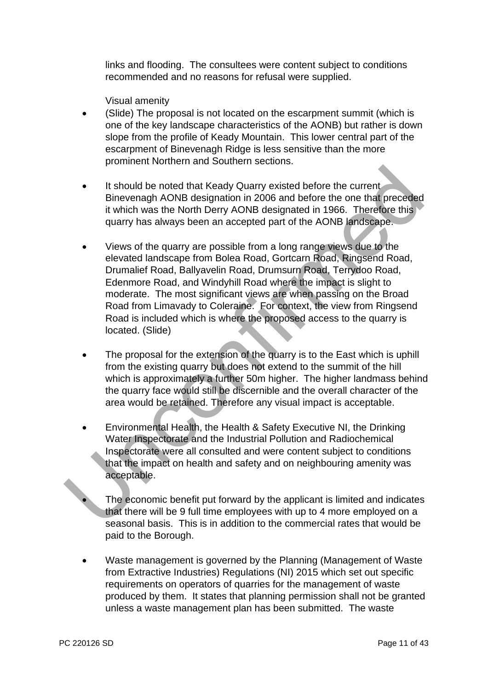links and flooding. The consultees were content subject to conditions recommended and no reasons for refusal were supplied.

Visual amenity

- (Slide) The proposal is not located on the escarpment summit (which is one of the key landscape characteristics of the AONB) but rather is down slope from the profile of Keady Mountain. This lower central part of the escarpment of Binevenagh Ridge is less sensitive than the more prominent Northern and Southern sections.
- It should be noted that Keady Quarry existed before the current Binevenagh AONB designation in 2006 and before the one that preceded it which was the North Derry AONB designated in 1966. Therefore this quarry has always been an accepted part of the AONB landscape.
- Views of the quarry are possible from a long range views due to the elevated landscape from Bolea Road, Gortcarn Road, Ringsend Road, Drumalief Road, Ballyavelin Road, Drumsurn Road, Terrydoo Road, Edenmore Road, and Windyhill Road where the impact is slight to moderate. The most significant views are when passing on the Broad Road from Limavady to Coleraine. For context, the view from Ringsend Road is included which is where the proposed access to the quarry is located. (Slide) It should be noted that Keady Quarry existed before the current<br>
It should be noted that Keady Quarry existed before the current<br>
Einevenagh AONB designation in 2006 and before the one that preceded<br>
it which was the North
	- The proposal for the extension of the quarry is to the East which is uphill from the existing quarry but does not extend to the summit of the hill which is approximately a further 50m higher. The higher landmass behind the quarry face would still be discernible and the overall character of the area would be retained. Therefore any visual impact is acceptable.
	- Environmental Health, the Health & Safety Executive NI, the Drinking Water Inspectorate and the Industrial Pollution and Radiochemical Inspectorate were all consulted and were content subject to conditions that the impact on health and safety and on neighbouring amenity was acceptable.
		- The economic benefit put forward by the applicant is limited and indicates that there will be 9 full time employees with up to 4 more employed on a seasonal basis. This is in addition to the commercial rates that would be paid to the Borough.
	- Waste management is governed by the Planning (Management of Waste from Extractive Industries) Regulations (NI) 2015 which set out specific requirements on operators of quarries for the management of waste produced by them. It states that planning permission shall not be granted unless a waste management plan has been submitted. The waste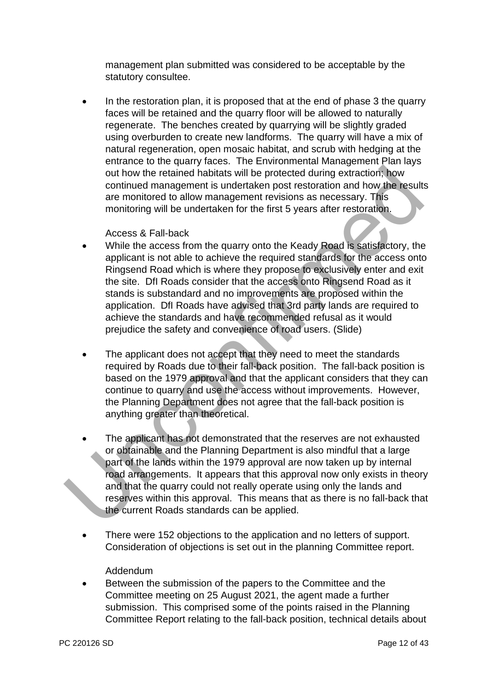management plan submitted was considered to be acceptable by the statutory consultee.

 In the restoration plan, it is proposed that at the end of phase 3 the quarry faces will be retained and the quarry floor will be allowed to naturally regenerate. The benches created by quarrying will be slightly graded using overburden to create new landforms. The quarry will have a mix of natural regeneration, open mosaic habitat, and scrub with hedging at the entrance to the quarry faces. The Environmental Management Plan lays out how the retained habitats will be protected during extraction; how continued management is undertaken post restoration and how the results are monitored to allow management revisions as necessary. This monitoring will be undertaken for the first 5 years after restoration.

#### Access & Fall-back

- While the access from the quarry onto the Keady Road is satisfactory, the applicant is not able to achieve the required standards for the access onto Ringsend Road which is where they propose to exclusively enter and exit the site. DfI Roads consider that the access onto Ringsend Road as it stands is substandard and no improvements are proposed within the application. DfI Roads have advised that 3rd party lands are required to achieve the standards and have recommended refusal as it would prejudice the safety and convenience of road users. (Slide) out how the retained habitats will be protected during extraction, how<br>continued management is undertaken post restoration and how the result<br>are monitored to allow management revisions as necessary. This<br>monitoring will
	- The applicant does not accept that they need to meet the standards required by Roads due to their fall-back position. The fall-back position is based on the 1979 approval and that the applicant considers that they can continue to quarry and use the access without improvements. However, the Planning Department does not agree that the fall-back position is anything greater than theoretical.
	- The applicant has not demonstrated that the reserves are not exhausted or obtainable and the Planning Department is also mindful that a large part of the lands within the 1979 approval are now taken up by internal road arrangements. It appears that this approval now only exists in theory and that the quarry could not really operate using only the lands and reserves within this approval. This means that as there is no fall-back that the current Roads standards can be applied.
	- There were 152 objections to the application and no letters of support. Consideration of objections is set out in the planning Committee report.

#### Addendum

 Between the submission of the papers to the Committee and the Committee meeting on 25 August 2021, the agent made a further submission. This comprised some of the points raised in the Planning Committee Report relating to the fall-back position, technical details about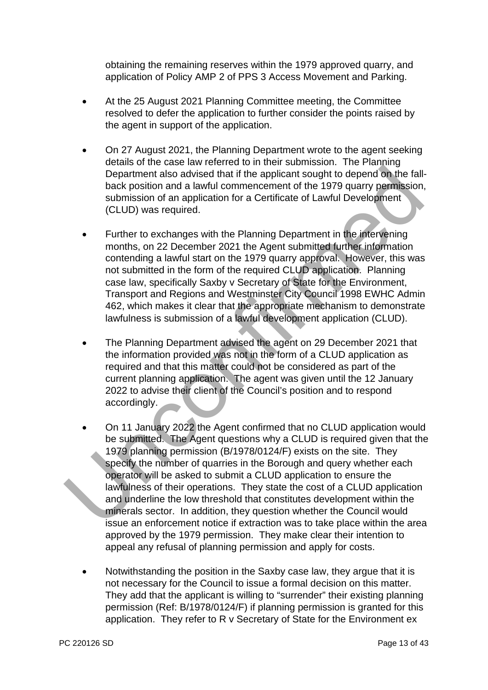obtaining the remaining reserves within the 1979 approved quarry, and application of Policy AMP 2 of PPS 3 Access Movement and Parking.

- At the 25 August 2021 Planning Committee meeting, the Committee resolved to defer the application to further consider the points raised by the agent in support of the application.
- On 27 August 2021, the Planning Department wrote to the agent seeking details of the case law referred to in their submission. The Planning Department also advised that if the applicant sought to depend on the fallback position and a lawful commencement of the 1979 quarry permission, submission of an application for a Certificate of Lawful Development (CLUD) was required.
- Further to exchanges with the Planning Department in the intervening months, on 22 December 2021 the Agent submitted further information contending a lawful start on the 1979 quarry approval. However, this was not submitted in the form of the required CLUD application. Planning case law, specifically Saxby v Secretary of State for the Environment, Transport and Regions and Westminster City Council 1998 EWHC Admin 462, which makes it clear that the appropriate mechanism to demonstrate lawfulness is submission of a lawful development application (CLUD).
- The Planning Department advised the agent on 29 December 2021 that the information provided was not in the form of a CLUD application as required and that this matter could not be considered as part of the current planning application. The agent was given until the 12 January 2022 to advise their client of the Council's position and to respond accordingly.
- On 11 January 2022 the Agent confirmed that no CLUD application would be submitted. The Agent questions why a CLUD is required given that the 1979 planning permission (B/1978/0124/F) exists on the site. They specify the number of quarries in the Borough and query whether each operator will be asked to submit a CLUD application to ensure the lawfulness of their operations. They state the cost of a CLUD application and underline the low threshold that constitutes development within the minerals sector. In addition, they question whether the Council would issue an enforcement notice if extraction was to take place within the area approved by the 1979 permission. They make clear their intention to appeal any refusal of planning permission and apply for costs. Department also advised that if the application to depend on the fall<br>behavior and a lawful commencement of the 1979 quarry permission<br>sck position and a lawful commencement of the 1979 quarry permission<br>(CLUD) was require
	- Notwithstanding the position in the Saxby case law, they argue that it is not necessary for the Council to issue a formal decision on this matter. They add that the applicant is willing to "surrender" their existing planning permission (Ref: B/1978/0124/F) if planning permission is granted for this application. They refer to R v Secretary of State for the Environment ex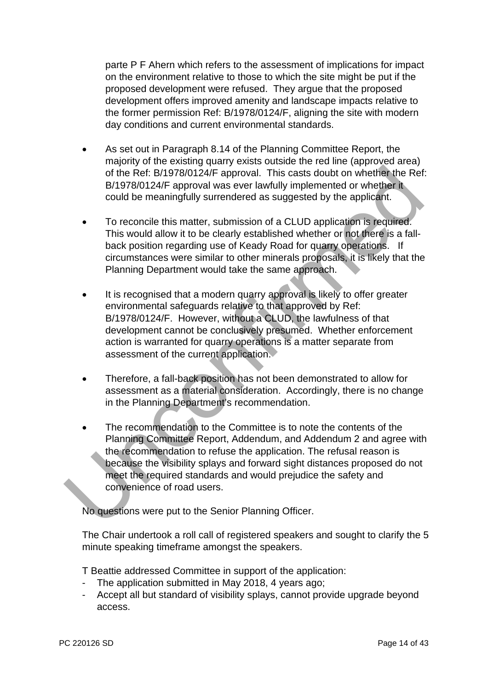parte P F Ahern which refers to the assessment of implications for impact on the environment relative to those to which the site might be put if the proposed development were refused. They argue that the proposed development offers improved amenity and landscape impacts relative to the former permission Ref: B/1978/0124/F, aligning the site with modern day conditions and current environmental standards.

- As set out in Paragraph 8.14 of the Planning Committee Report, the majority of the existing quarry exists outside the red line (approved area) of the Ref: B/1978/0124/F approval. This casts doubt on whether the Ref: B/1978/0124/F approval was ever lawfully implemented or whether it could be meaningfully surrendered as suggested by the applicant.
- To reconcile this matter, submission of a CLUD application is required. This would allow it to be clearly established whether or not there is a fallback position regarding use of Keady Road for quarry operations. If circumstances were similar to other minerals proposals, it is likely that the Planning Department would take the same approach.
- It is recognised that a modern quarry approval is likely to offer greater environmental safeguards relative to that approved by Ref: B/1978/0124/F. However, without a CLUD, the lawfulness of that development cannot be conclusively presumed. Whether enforcement action is warranted for quarry operations is a matter separate from assessment of the current application.
- Therefore, a fall-back position has not been demonstrated to allow for assessment as a material consideration. Accordingly, there is no change in the Planning Department's recommendation.
- The recommendation to the Committee is to note the contents of the Planning Committee Report, Addendum, and Addendum 2 and agree with the recommendation to refuse the application. The refusal reason is because the visibility splays and forward sight distances proposed do not meet the required standards and would prejudice the safety and convenience of road users. of the Ref. B/1978/0124/F approval. This casts doubt on whether the Ref and the Ref. B/1978/0124/F approval. This casts doubt on whether the Ref and the Ref and the Ref and the could be meaningfully surrendered as suggeste

No questions were put to the Senior Planning Officer.

The Chair undertook a roll call of registered speakers and sought to clarify the 5 minute speaking timeframe amongst the speakers.

- T Beattie addressed Committee in support of the application:
- The application submitted in May 2018, 4 years ago;
- Accept all but standard of visibility splays, cannot provide upgrade beyond access.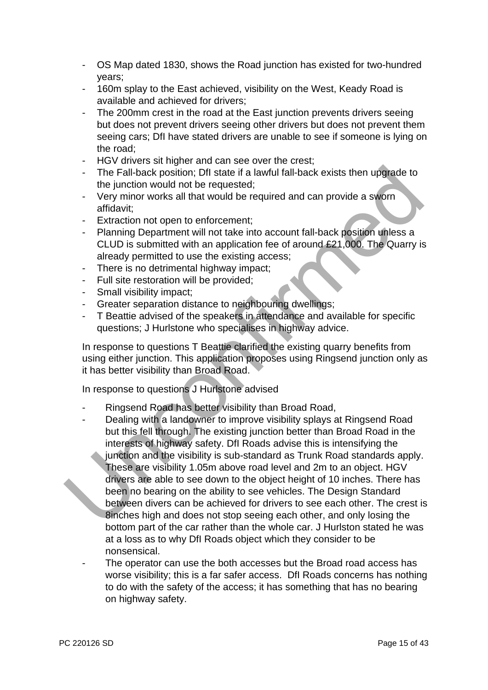- OS Map dated 1830, shows the Road junction has existed for two-hundred years;
- 160m splay to the East achieved, visibility on the West, Keady Road is available and achieved for drivers;
- The 200mm crest in the road at the East junction prevents drivers seeing but does not prevent drivers seeing other drivers but does not prevent them seeing cars; DfI have stated drivers are unable to see if someone is lying on the road;
- HGV drivers sit higher and can see over the crest;
- The Fall-back position; DfI state if a lawful fall-back exists then upgrade to the junction would not be requested;
- Very minor works all that would be required and can provide a sworn affidavit;
- Extraction not open to enforcement;
- Planning Department will not take into account fall-back position unless a CLUD is submitted with an application fee of around £21,000. The Quarry is already permitted to use the existing access;
- There is no detrimental highway impact;
- Full site restoration will be provided;
- Small visibility impact;
- Greater separation distance to neighbouring dwellings;
- T Beattie advised of the speakers in attendance and available for specific questions; J Hurlstone who specialises in highway advice.

In response to questions T Beattie clarified the existing quarry benefits from using either junction. This application proposes using Ringsend junction only as it has better visibility than Broad Road.

In response to questions J Hurlstone advised

- Ringsend Road has better visibility than Broad Road,
- Dealing with a landowner to improve visibility splays at Ringsend Road but this fell through. The existing junction better than Broad Road in the interests of highway safety. DfI Roads advise this is intensifying the junction and the visibility is sub-standard as Trunk Road standards apply. These are visibility 1.05m above road level and 2m to an object. HGV drivers are able to see down to the object height of 10 inches. There has been no bearing on the ability to see vehicles. The Design Standard between divers can be achieved for drivers to see each other. The crest is 8inches high and does not stop seeing each other, and only losing the bottom part of the car rather than the whole car. J Hurlston stated he was at a loss as to why DfI Roads object which they consider to be nonsensical. The Fall-back position; Dfl state if a lawful fall-back exists then upgrade to<br>the junction would not be requested;<br>Very minor works all that would be required and can provide a sworn<br>affidavit;<br>Extraction not open to enfo
	- The operator can use the both accesses but the Broad road access has worse visibility; this is a far safer access. DfI Roads concerns has nothing to do with the safety of the access; it has something that has no bearing on highway safety.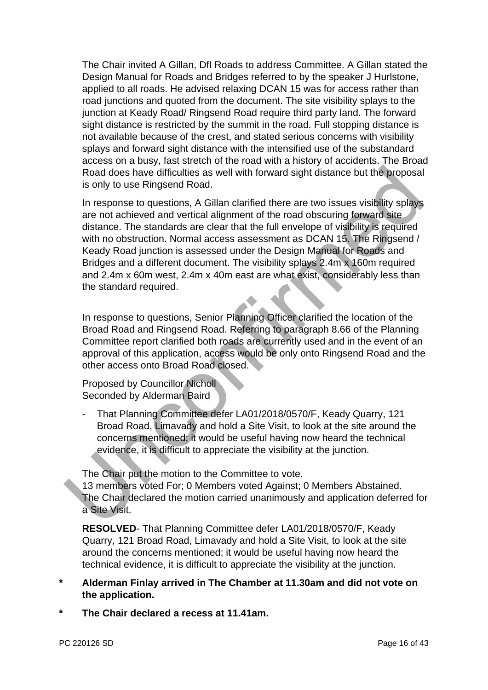The Chair invited A Gillan, DfI Roads to address Committee. A Gillan stated the Design Manual for Roads and Bridges referred to by the speaker J Hurlstone, applied to all roads. He advised relaxing DCAN 15 was for access rather than road junctions and quoted from the document. The site visibility splays to the junction at Keady Road/ Ringsend Road require third party land. The forward sight distance is restricted by the summit in the road. Full stopping distance is not available because of the crest, and stated serious concerns with visibility splays and forward sight distance with the intensified use of the substandard access on a busy, fast stretch of the road with a history of accidents. The Broad Road does have difficulties as well with forward sight distance but the proposal is only to use Ringsend Road.

In response to questions, A Gillan clarified there are two issues visibility splays are not achieved and vertical alignment of the road obscuring forward site distance. The standards are clear that the full envelope of visibility is required with no obstruction. Normal access assessment as DCAN 15. The Ringsend / Keady Road junction is assessed under the Design Manual for Roads and Bridges and a different document. The visibility splays 2.4m x 160m required and 2.4m x 60m west, 2.4m x 40m east are what exist, considerably less than the standard required. Road does have difficulties as well with forward sight distance but the proposal<br>
is only to use Ringsend Road.<br>
In response to questions, A Gillan clarified there are two issues visibility splays<br>
are not achieved and ve

In response to questions, Senior Planning Officer clarified the location of the Broad Road and Ringsend Road. Referring to paragraph 8.66 of the Planning Committee report clarified both roads are currently used and in the event of an approval of this application, access would be only onto Ringsend Road and the other access onto Broad Road closed.

Proposed by Councillor Nicholl Seconded by Alderman Baird

- That Planning Committee defer LA01/2018/0570/F, Keady Quarry, 121 Broad Road, Limavady and hold a Site Visit, to look at the site around the concerns mentioned; it would be useful having now heard the technical evidence, it is difficult to appreciate the visibility at the junction.

The Chair put the motion to the Committee to vote.

13 members voted For; 0 Members voted Against; 0 Members Abstained. The Chair declared the motion carried unanimously and application deferred for a Site Visit.

**RESOLVED**- That Planning Committee defer LA01/2018/0570/F, Keady Quarry, 121 Broad Road, Limavady and hold a Site Visit, to look at the site around the concerns mentioned; it would be useful having now heard the technical evidence, it is difficult to appreciate the visibility at the junction.

- **\* Alderman Finlay arrived in The Chamber at 11.30am and did not vote on the application.**
- **\* The Chair declared a recess at 11.41am.**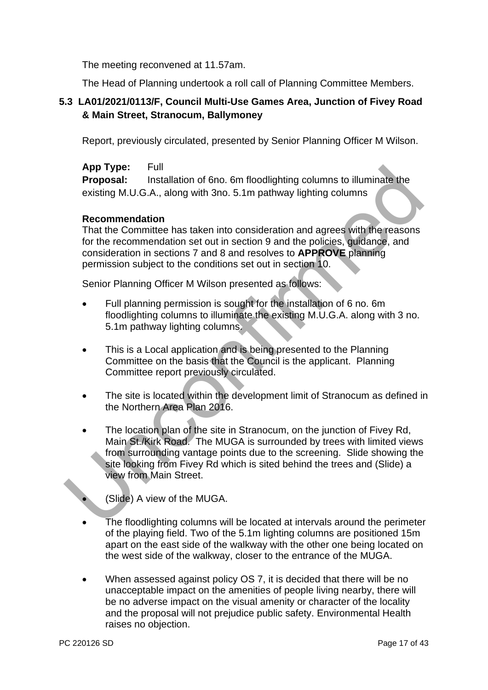The meeting reconvened at 11.57am.

The Head of Planning undertook a roll call of Planning Committee Members.

# **5.3 LA01/2021/0113/F, Council Multi-Use Games Area, Junction of Fivey Road & Main Street, Stranocum, Ballymoney**

Report, previously circulated, presented by Senior Planning Officer M Wilson.

# **App Type:** Full

**Proposal:** Installation of 6no. 6m floodlighting columns to illuminate the existing M.U.G.A., along with 3no. 5.1m pathway lighting columns

## **Recommendation**

That the Committee has taken into consideration and agrees with the reasons for the recommendation set out in section 9 and the policies, guidance, and consideration in sections 7 and 8 and resolves to **APPROVE** planning permission subject to the conditions set out in section 10.

Senior Planning Officer M Wilson presented as follows:

- Full planning permission is sought for the installation of 6 no. 6m floodlighting columns to illuminate the existing M.U.G.A. along with 3 no. 5.1m pathway lighting columns.
- This is a Local application and is being presented to the Planning Committee on the basis that the Council is the applicant. Planning Committee report previously circulated.
- The site is located within the development limit of Stranocum as defined in the Northern Area Plan 2016.
- The location plan of the site in Stranocum, on the junction of Fivey Rd, Main St./Kirk Road. The MUGA is surrounded by trees with limited views from surrounding vantage points due to the screening. Slide showing the site looking from Fivey Rd which is sited behind the trees and (Slide) a view from Main Street. App Type:<br>
Froposal: Installation of 6no. 6m floodlighting columns to illuminate the<br>
existing M.U.G.A., along with 3no. 5.1m pathway lighting columns<br>
Recommendation<br>
That the Commendation is equivalent and agrees with th
	- (Slide) A view of the MUGA.
	- The floodlighting columns will be located at intervals around the perimeter of the playing field. Two of the 5.1m lighting columns are positioned 15m apart on the east side of the walkway with the other one being located on the west side of the walkway, closer to the entrance of the MUGA.
	- When assessed against policy OS 7, it is decided that there will be no unacceptable impact on the amenities of people living nearby, there will be no adverse impact on the visual amenity or character of the locality and the proposal will not prejudice public safety. Environmental Health raises no objection.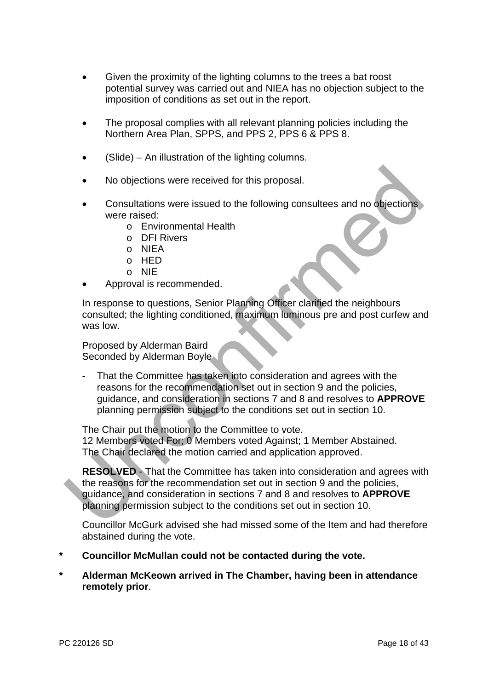- Given the proximity of the lighting columns to the trees a bat roost potential survey was carried out and NIEA has no objection subject to the imposition of conditions as set out in the report.
- The proposal complies with all relevant planning policies including the Northern Area Plan, SPPS, and PPS 2, PPS 6 & PPS 8.
- (Slide) An illustration of the lighting columns.
- No objections were received for this proposal.
- Consultations were issued to the following consultees and no objections were raised:
	- o Environmental Health
	- o DFI Rivers
	- o NIEA
	- o HED
	- o NIE
- Approval is recommended.

In response to questions, Senior Planning Officer clarified the neighbours consulted; the lighting conditioned, maximum luminous pre and post curfew and was low.

Proposed by Alderman Baird Seconded by Alderman Boyle

That the Committee has taken into consideration and agrees with the reasons for the recommendation set out in section 9 and the policies, guidance, and consideration in sections 7 and 8 and resolves to **APPROVE** planning permission subject to the conditions set out in section 10. • No objections were received for this proposal.<br>
• Consultations were issued to the following consultees and no objections<br>
• Environmental Health<br>
• DET Rivers<br>
• DET Rivers<br>
• OF Rivers<br>
• OF Rivers<br>
• OF Rivers<br>
• OF

The Chair put the motion to the Committee to vote. 12 Members voted For; 0 Members voted Against; 1 Member Abstained. The Chair declared the motion carried and application approved.

**RESOLVED** - That the Committee has taken into consideration and agrees with the reasons for the recommendation set out in section 9 and the policies, guidance, and consideration in sections 7 and 8 and resolves to **APPROVE** planning permission subject to the conditions set out in section 10.

Councillor McGurk advised she had missed some of the Item and had therefore abstained during the vote.

- **\* Councillor McMullan could not be contacted during the vote.**
- **\* Alderman McKeown arrived in The Chamber, having been in attendance remotely prior**.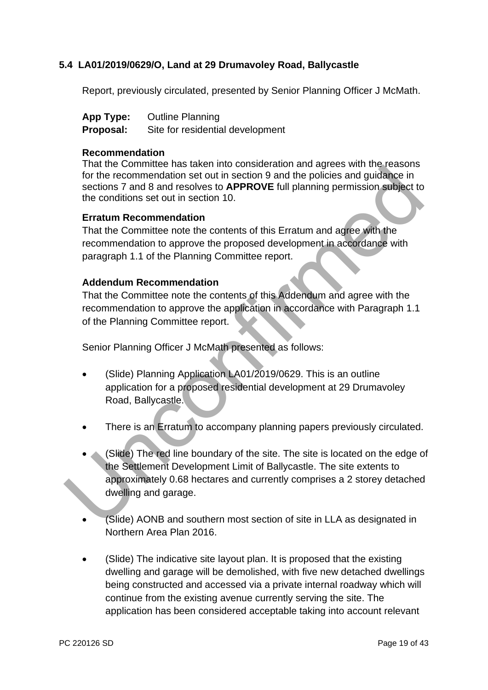## **5.4 LA01/2019/0629/O, Land at 29 Drumavoley Road, Ballycastle**

Report, previously circulated, presented by Senior Planning Officer J McMath.

| <b>App Type:</b> | <b>Outline Planning</b>       |
|------------------|-------------------------------|
| <b>D</b> 1.      | Otto fou as side attal decode |

#### **Proposal:** Site for residential development

## **Recommendation**

That the Committee has taken into consideration and agrees with the reasons for the recommendation set out in section 9 and the policies and guidance in sections 7 and 8 and resolves to **APPROVE** full planning permission subject to the conditions set out in section 10.

#### **Erratum Recommendation**

That the Committee note the contents of this Erratum and agree with the recommendation to approve the proposed development in accordance with paragraph 1.1 of the Planning Committee report.

#### **Addendum Recommendation**

That the Committee note the contents of this Addendum and agree with the recommendation to approve the application in accordance with Paragraph 1.1 of the Planning Committee report.

Senior Planning Officer J McMath presented as follows:

- (Slide) Planning Application LA01/2019/0629. This is an outline application for a proposed residential development at 29 Drumavoley Road, Ballycastle.
- There is an Erratum to accompany planning papers previously circulated.
- (Slide) The red line boundary of the site. The site is located on the edge of the Settlement Development Limit of Ballycastle. The site extents to approximately 0.68 hectares and currently comprises a 2 storey detached dwelling and garage. That the Commendation set out in section 9 and the ploties and guidance in<br>to the recommendation set out in section 9 and the policies and guidance in<br>sections 7 and 8 and resolves to **APPROVE** full planning permission sub
	- (Slide) AONB and southern most section of site in LLA as designated in Northern Area Plan 2016.
	- (Slide) The indicative site layout plan. It is proposed that the existing dwelling and garage will be demolished, with five new detached dwellings being constructed and accessed via a private internal roadway which will continue from the existing avenue currently serving the site. The application has been considered acceptable taking into account relevant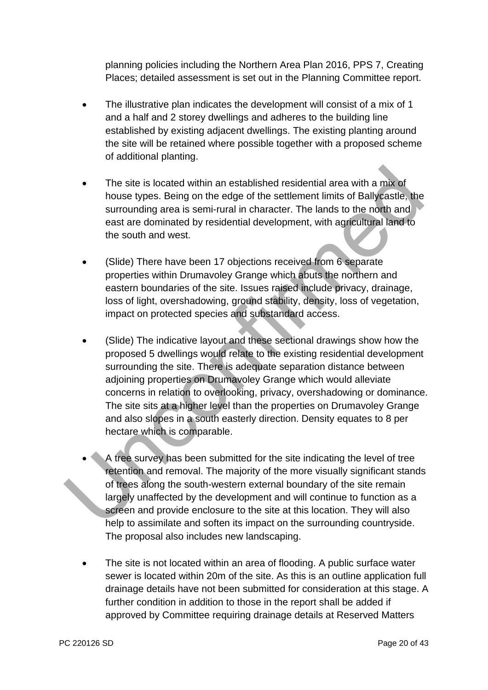planning policies including the Northern Area Plan 2016, PPS 7, Creating Places; detailed assessment is set out in the Planning Committee report.

- The illustrative plan indicates the development will consist of a mix of 1 and a half and 2 storey dwellings and adheres to the building line established by existing adjacent dwellings. The existing planting around the site will be retained where possible together with a proposed scheme of additional planting.
- The site is located within an established residential area with a mix of house types. Being on the edge of the settlement limits of Ballycastle, the surrounding area is semi-rural in character. The lands to the north and east are dominated by residential development, with agricultural land to the south and west.
- (Slide) There have been 17 objections received from 6 separate properties within Drumavoley Grange which abuts the northern and eastern boundaries of the site. Issues raised include privacy, drainage, loss of light, overshadowing, ground stability, density, loss of vegetation, impact on protected species and substandard access.
- (Slide) The indicative layout and these sectional drawings show how the proposed 5 dwellings would relate to the existing residential development surrounding the site. There is adequate separation distance between adjoining properties on Drumavoley Grange which would alleviate concerns in relation to overlooking, privacy, overshadowing or dominance. The site sits at a higher level than the properties on Drumavoley Grange and also slopes in a south easterly direction. Density equates to 8 per hectare which is comparable. • The site is located within an established residential area with a mix of<br>
house types. Being on the edge of the settlement limits of Ballycastle, the<br>
surrounding area is semi-rural in character. The lands to the north a
	- A tree survey has been submitted for the site indicating the level of tree retention and removal. The majority of the more visually significant stands of trees along the south-western external boundary of the site remain largely unaffected by the development and will continue to function as a screen and provide enclosure to the site at this location. They will also help to assimilate and soften its impact on the surrounding countryside. The proposal also includes new landscaping.
	- The site is not located within an area of flooding. A public surface water sewer is located within 20m of the site. As this is an outline application full drainage details have not been submitted for consideration at this stage. A further condition in addition to those in the report shall be added if approved by Committee requiring drainage details at Reserved Matters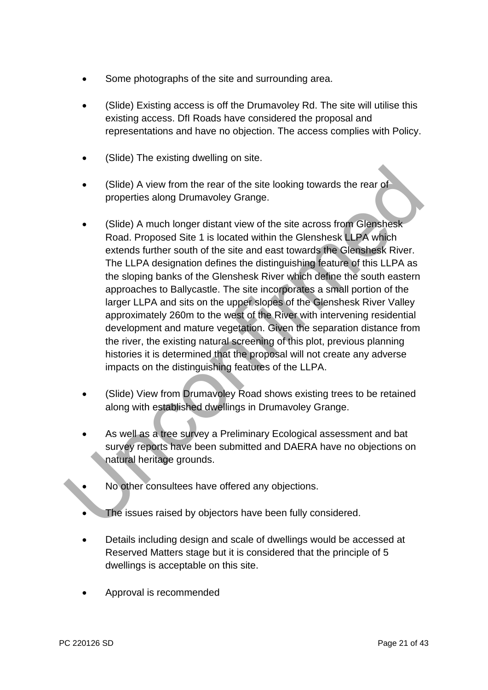- Some photographs of the site and surrounding area.
- (Slide) Existing access is off the Drumavoley Rd. The site will utilise this existing access. DfI Roads have considered the proposal and representations and have no objection. The access complies with Policy.
- (Slide) The existing dwelling on site.
- (Slide) A view from the rear of the site looking towards the rear of properties along Drumavoley Grange.
- (Slide) A much longer distant view of the site across from Glenshesk Road. Proposed Site 1 is located within the Glenshesk LLPA which extends further south of the site and east towards the Glenshesk River. The LLPA designation defines the distinguishing feature of this LLPA as the sloping banks of the Glenshesk River which define the south eastern approaches to Ballycastle. The site incorporates a small portion of the larger LLPA and sits on the upper slopes of the Glenshesk River Valley approximately 260m to the west of the River with intervening residential development and mature vegetation. Given the separation distance from the river, the existing natural screening of this plot, previous planning histories it is determined that the proposal will not create any adverse impacts on the distinguishing features of the LLPA. (Slide) A view from the rear of the site looking towards the rear of<br>properties along Drumavoley Grange.<br>(Slide) A much longer distant view of the site across from Glenshesk<br>Road. Proposed Site 1 is located within the Glen
	- (Slide) View from Drumavoley Road shows existing trees to be retained along with established dwellings in Drumavoley Grange.
	- As well as a tree survey a Preliminary Ecological assessment and bat survey reports have been submitted and DAERA have no objections on natural heritage grounds.
	- No other consultees have offered any objections.
	- The issues raised by objectors have been fully considered.
	- Details including design and scale of dwellings would be accessed at Reserved Matters stage but it is considered that the principle of 5 dwellings is acceptable on this site.
	- Approval is recommended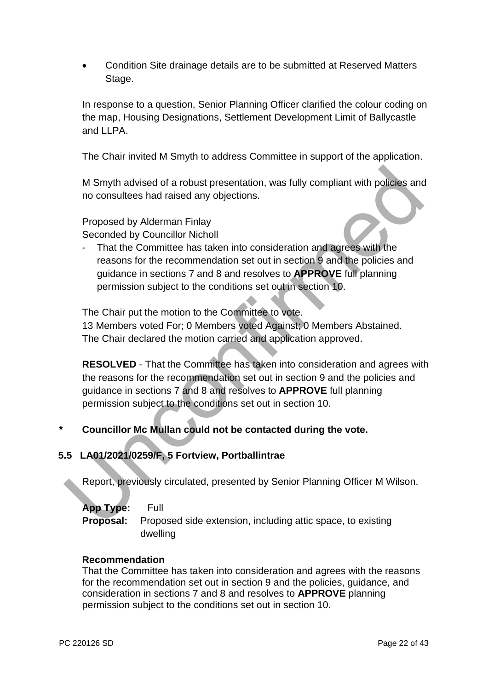Condition Site drainage details are to be submitted at Reserved Matters Stage.

In response to a question, Senior Planning Officer clarified the colour coding on the map, Housing Designations, Settlement Development Limit of Ballycastle and LLPA.

The Chair invited M Smyth to address Committee in support of the application.

M Smyth advised of a robust presentation, was fully compliant with policies and no consultees had raised any objections.

Proposed by Alderman Finlay Seconded by Councillor Nicholl

That the Committee has taken into consideration and agrees with the reasons for the recommendation set out in section 9 and the policies and guidance in sections 7 and 8 and resolves to **APPROVE** full planning permission subject to the conditions set out in section 10.

The Chair put the motion to the Committee to vote.

13 Members voted For; 0 Members voted Against; 0 Members Abstained. The Chair declared the motion carried and application approved.

**RESOLVED** - That the Committee has taken into consideration and agrees with the reasons for the recommendation set out in section 9 and the policies and guidance in sections 7 and 8 and resolves to **APPROVE** full planning permission subject to the conditions set out in section 10. M Smyth advised of a robust presentation, was fully compliant with policies and<br>no consultees had raised any objections.<br>Proposed by Alderman Finlay<br>Seconded by Councillor Nicholl<br>That the Commendation set out in section 9

# **\* Councillor Mc Mullan could not be contacted during the vote.**

# **5.5 LA01/2021/0259/F, 5 Fortview, Portballintrae**

Report, previously circulated, presented by Senior Planning Officer M Wilson.

| App Type: Full |                                                                              |
|----------------|------------------------------------------------------------------------------|
|                | <b>Proposal:</b> Proposed side extension, including attic space, to existing |
|                | dwelling                                                                     |

#### **Recommendation**

That the Committee has taken into consideration and agrees with the reasons for the recommendation set out in section 9 and the policies, guidance, and consideration in sections 7 and 8 and resolves to **APPROVE** planning permission subject to the conditions set out in section 10.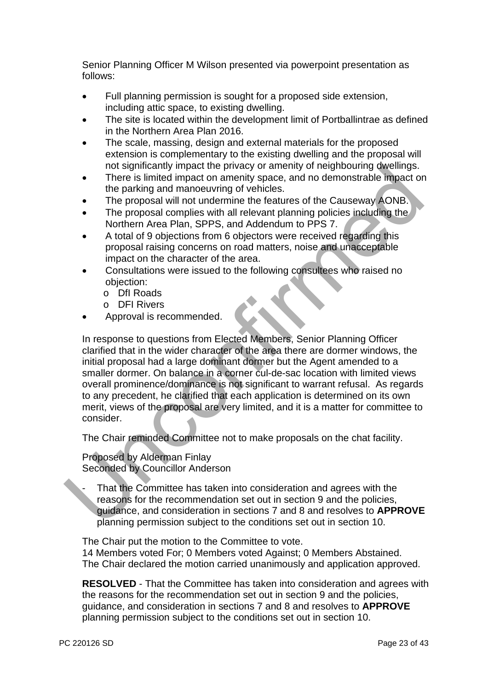Senior Planning Officer M Wilson presented via powerpoint presentation as follows:

- Full planning permission is sought for a proposed side extension, including attic space, to existing dwelling.
- The site is located within the development limit of Portballintrae as defined in the Northern Area Plan 2016.
- The scale, massing, design and external materials for the proposed extension is complementary to the existing dwelling and the proposal will not significantly impact the privacy or amenity of neighbouring dwellings.
- There is limited impact on amenity space, and no demonstrable impact on the parking and manoeuvring of vehicles.
- The proposal will not undermine the features of the Causeway AONB.
- The proposal complies with all relevant planning policies including the Northern Area Plan, SPPS, and Addendum to PPS 7.
- A total of 9 objections from 6 objectors were received regarding this proposal raising concerns on road matters, noise and unacceptable impact on the character of the area.
- Consultations were issued to the following consultees who raised no objection:
	- o DfI Roads
	- o DFI Rivers
- Approval is recommended.

In response to questions from Elected Members, Senior Planning Officer clarified that in the wider character of the area there are dormer windows, the initial proposal had a large dominant dormer but the Agent amended to a smaller dormer. On balance in a corner cul-de-sac location with limited views overall prominence/dominance is not significant to warrant refusal. As regards to any precedent, he clarified that each application is determined on its own merit, views of the proposal are very limited, and it is a matter for committee to consider. The proposal and manner windows of a mentity space, and no demonstrable minutes<br>
There is limited impact on anenuity space, and no demonstrable impact or<br>
The proposal vill not undemimine the features of the Causeway AONB.

The Chair reminded Committee not to make proposals on the chat facility.

Proposed by Alderman Finlay Seconded by Councillor Anderson

That the Committee has taken into consideration and agrees with the reasons for the recommendation set out in section 9 and the policies, guidance, and consideration in sections 7 and 8 and resolves to **APPROVE** planning permission subject to the conditions set out in section 10.

The Chair put the motion to the Committee to vote. 14 Members voted For; 0 Members voted Against; 0 Members Abstained. The Chair declared the motion carried unanimously and application approved.

**RESOLVED** - That the Committee has taken into consideration and agrees with the reasons for the recommendation set out in section 9 and the policies, guidance, and consideration in sections 7 and 8 and resolves to **APPROVE** planning permission subject to the conditions set out in section 10.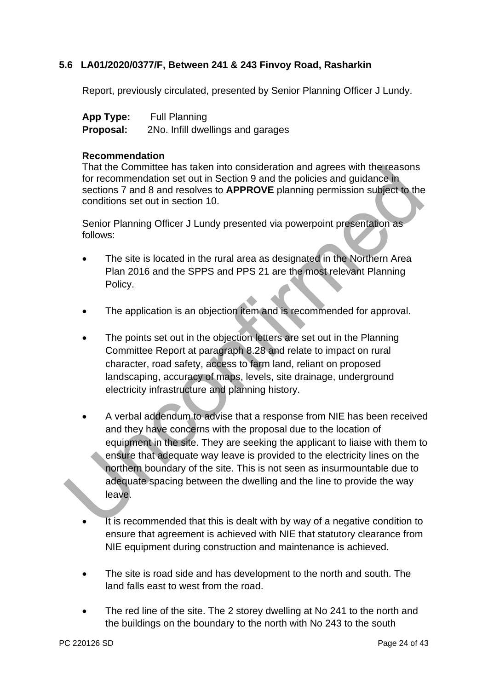## **5.6 LA01/2020/0377/F, Between 241 & 243 Finvoy Road, Rasharkin**

Report, previously circulated, presented by Senior Planning Officer J Lundy.

| App Type: | <b>Full Planning</b>              |
|-----------|-----------------------------------|
| Proposal: | 2No. Infill dwellings and garages |

#### **Recommendation**

That the Committee has taken into consideration and agrees with the reasons for recommendation set out in Section 9 and the policies and guidance in sections 7 and 8 and resolves to **APPROVE** planning permission subject to the conditions set out in section 10.

Senior Planning Officer J Lundy presented via powerpoint presentation as follows:

- The site is located in the rural area as designated in the Northern Area Plan 2016 and the SPPS and PPS 21 are the most relevant Planning Policy.
- The application is an objection item and is recommended for approval.
- The points set out in the objection letters are set out in the Planning Committee Report at paragraph 8.28 and relate to impact on rural character, road safety, access to farm land, reliant on proposed landscaping, accuracy of maps, levels, site drainage, underground electricity infrastructure and planning history.
- A verbal addendum to advise that a response from NIE has been received and they have concerns with the proposal due to the location of equipment in the site. They are seeking the applicant to liaise with them to ensure that adequate way leave is provided to the electricity lines on the northern boundary of the site. This is not seen as insurmountable due to adequate spacing between the dwelling and the line to provide the way leave. That the Committee has taken into consideration and agrees with the reasons<br>for recommendation set out in Section 9 and the policies and guidance in<br>sections 7 and 8 and resolves to **APPROVE** planning permission subject to
	- It is recommended that this is dealt with by way of a negative condition to ensure that agreement is achieved with NIE that statutory clearance from NIE equipment during construction and maintenance is achieved.
	- The site is road side and has development to the north and south. The land falls east to west from the road.
	- The red line of the site. The 2 storey dwelling at No 241 to the north and the buildings on the boundary to the north with No 243 to the south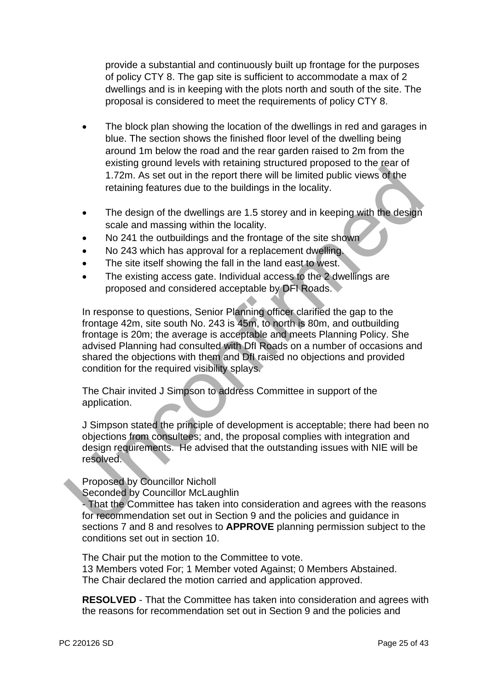provide a substantial and continuously built up frontage for the purposes of policy CTY 8. The gap site is sufficient to accommodate a max of 2 dwellings and is in keeping with the plots north and south of the site. The proposal is considered to meet the requirements of policy CTY 8.

- The block plan showing the location of the dwellings in red and garages in blue. The section shows the finished floor level of the dwelling being around 1m below the road and the rear garden raised to 2m from the existing ground levels with retaining structured proposed to the rear of 1.72m. As set out in the report there will be limited public views of the retaining features due to the buildings in the locality.
- The design of the dwellings are 1.5 storey and in keeping with the design scale and massing within the locality.
- No 241 the outbuildings and the frontage of the site shown
- No 243 which has approval for a replacement dwelling.
- The site itself showing the fall in the land east to west.
- The existing access gate. Individual access to the 2 dwellings are proposed and considered acceptable by DFI Roads.

In response to questions, Senior Planning officer clarified the gap to the frontage 42m, site south No. 243 is 45m, to north is 80m, and outbuilding frontage is 20m; the average is acceptable and meets Planning Policy. She advised Planning had consulted with DfI Roads on a number of occasions and shared the objections with them and DfI raised no objections and provided condition for the required visibility splays. Many grown wears wirring success to the people in the people of the control in the set out in the report there will be limited public views of the retaining features due to the buildings in the locality.<br>
The design of the

The Chair invited J Simpson to address Committee in support of the application.

J Simpson stated the principle of development is acceptable; there had been no objections from consultees; and, the proposal complies with integration and design requirements. He advised that the outstanding issues with NIE will be resolved.

Proposed by Councillor Nicholl

Seconded by Councillor McLaughlin

- That the Committee has taken into consideration and agrees with the reasons for recommendation set out in Section 9 and the policies and guidance in sections 7 and 8 and resolves to **APPROVE** planning permission subject to the conditions set out in section 10.

The Chair put the motion to the Committee to vote. 13 Members voted For; 1 Member voted Against; 0 Members Abstained. The Chair declared the motion carried and application approved.

**RESOLVED** - That the Committee has taken into consideration and agrees with the reasons for recommendation set out in Section 9 and the policies and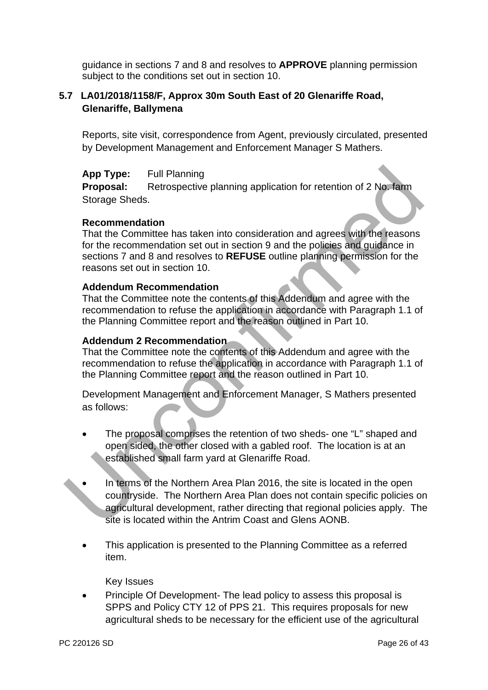guidance in sections 7 and 8 and resolves to **APPROVE** planning permission subject to the conditions set out in section 10.

# **5.7 LA01/2018/1158/F, Approx 30m South East of 20 Glenariffe Road, Glenariffe, Ballymena**

Reports, site visit, correspondence from Agent, previously circulated, presented by Development Management and Enforcement Manager S Mathers.

**App Type:** Full Planning

**Proposal:** Retrospective planning application for retention of 2 No. farm Storage Sheds.

## **Recommendation**

That the Committee has taken into consideration and agrees with the reasons for the recommendation set out in section 9 and the policies and guidance in sections 7 and 8 and resolves to **REFUSE** outline planning permission for the reasons set out in section 10.

## **Addendum Recommendation**

That the Committee note the contents of this Addendum and agree with the recommendation to refuse the application in accordance with Paragraph 1.1 of the Planning Committee report and the reason outlined in Part 10.

#### **Addendum 2 Recommendation**

That the Committee note the contents of this Addendum and agree with the recommendation to refuse the application in accordance with Paragraph 1.1 of the Planning Committee report and the reason outlined in Part 10.

Development Management and Enforcement Manager, S Mathers presented as follows:

- The proposal comprises the retention of two sheds- one "L" shaped and open sided, the other closed with a gabled roof. The location is at an established small farm yard at Glenariffe Road.
- In terms of the Northern Area Plan 2016, the site is located in the open countryside. The Northern Area Plan does not contain specific policies on agricultural development, rather directing that regional policies apply. The site is located within the Antrim Coast and Glens AONB. App Type: Full Planning<br>
Proposal: Retrospective planning application for retention of 2 No. farm<br>
Storge Sheds.<br>
Recommendation<br>
That the Committee has taken into consideration and agrees with the teasons<br>
for the recomm
	- This application is presented to the Planning Committee as a referred item.

Key Issues

 Principle Of Development- The lead policy to assess this proposal is SPPS and Policy CTY 12 of PPS 21. This requires proposals for new agricultural sheds to be necessary for the efficient use of the agricultural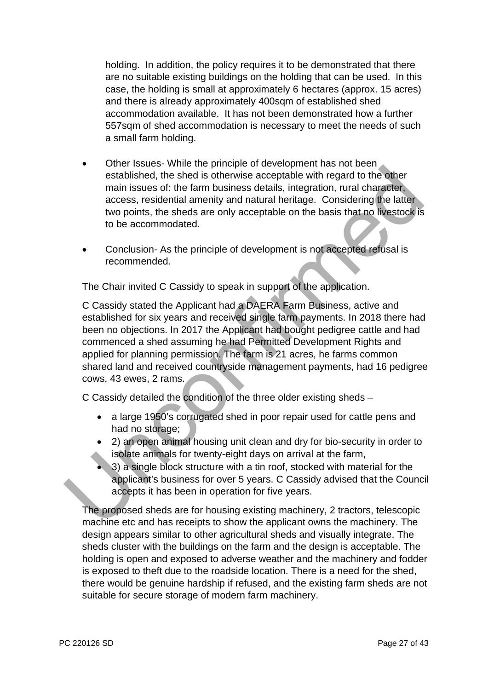holding. In addition, the policy requires it to be demonstrated that there are no suitable existing buildings on the holding that can be used. In this case, the holding is small at approximately 6 hectares (approx. 15 acres) and there is already approximately 400sqm of established shed accommodation available. It has not been demonstrated how a further 557sqm of shed accommodation is necessary to meet the needs of such a small farm holding.

- Other Issues- While the principle of development has not been established, the shed is otherwise acceptable with regard to the other main issues of: the farm business details, integration, rural character, access, residential amenity and natural heritage. Considering the latter two points, the sheds are only acceptable on the basis that no livestock is to be accommodated.
- Conclusion- As the principle of development is not accepted refusal is recommended.

The Chair invited C Cassidy to speak in support of the application.

C Cassidy stated the Applicant had a DAERA Farm Business, active and established for six years and received single farm payments. In 2018 there had been no objections. In 2017 the Applicant had bought pedigree cattle and had commenced a shed assuming he had Permitted Development Rights and applied for planning permission. The farm is 21 acres, he farms common shared land and received countryside management payments, had 16 pedigree cows, 43 ewes, 2 rams. Construction and missions of the firm business details in the phape of the stabilished, the shed is otherwise acceptable with regard to the other main issues of: the farm business details, integration, rural character acce

C Cassidy detailed the condition of the three older existing sheds –

- a large 1950's corrugated shed in poor repair used for cattle pens and had no storage;
- 2) an open animal housing unit clean and dry for bio-security in order to isolate animals for twenty-eight days on arrival at the farm,
- 3) a single block structure with a tin roof, stocked with material for the applicant's business for over 5 years. C Cassidy advised that the Council accepts it has been in operation for five years.

The proposed sheds are for housing existing machinery, 2 tractors, telescopic machine etc and has receipts to show the applicant owns the machinery. The design appears similar to other agricultural sheds and visually integrate. The sheds cluster with the buildings on the farm and the design is acceptable. The holding is open and exposed to adverse weather and the machinery and fodder is exposed to theft due to the roadside location. There is a need for the shed, there would be genuine hardship if refused, and the existing farm sheds are not suitable for secure storage of modern farm machinery.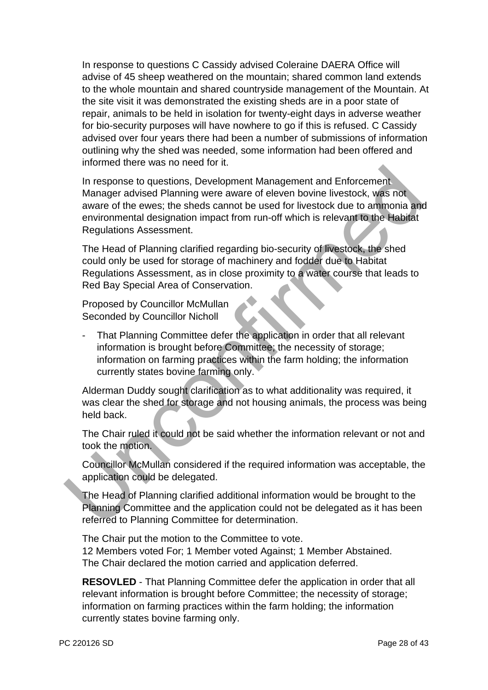In response to questions C Cassidy advised Coleraine DAERA Office will advise of 45 sheep weathered on the mountain; shared common land extends to the whole mountain and shared countryside management of the Mountain. At the site visit it was demonstrated the existing sheds are in a poor state of repair, animals to be held in isolation for twenty-eight days in adverse weather for bio-security purposes will have nowhere to go if this is refused. C Cassidy advised over four years there had been a number of submissions of information outlining why the shed was needed, some information had been offered and informed there was no need for it.

In response to questions, Development Management and Enforcement Manager advised Planning were aware of eleven bovine livestock, was not aware of the ewes; the sheds cannot be used for livestock due to ammonia and environmental designation impact from run-off which is relevant to the Habitat Regulations Assessment. In response to questions. Development Management and Enforcement<br>
In response to questions, Development Management and Enforcement<br>
aware of elevers; the sheets cannot be used for livestock, was not<br>
aware of the evers; th

The Head of Planning clarified regarding bio-security of livestock, the shed could only be used for storage of machinery and fodder due to Habitat Regulations Assessment, as in close proximity to a water course that leads to Red Bay Special Area of Conservation.

Proposed by Councillor McMullan Seconded by Councillor Nicholl

That Planning Committee defer the application in order that all relevant information is brought before Committee; the necessity of storage; information on farming practices within the farm holding; the information currently states bovine farming only.

Alderman Duddy sought clarification as to what additionality was required, it was clear the shed for storage and not housing animals, the process was being held back.

The Chair ruled it could not be said whether the information relevant or not and took the motion.

Councillor McMullan considered if the required information was acceptable, the application could be delegated.

The Head of Planning clarified additional information would be brought to the Planning Committee and the application could not be delegated as it has been referred to Planning Committee for determination.

The Chair put the motion to the Committee to vote. 12 Members voted For; 1 Member voted Against; 1 Member Abstained. The Chair declared the motion carried and application deferred.

**RESOVLED** - That Planning Committee defer the application in order that all relevant information is brought before Committee; the necessity of storage; information on farming practices within the farm holding; the information currently states bovine farming only.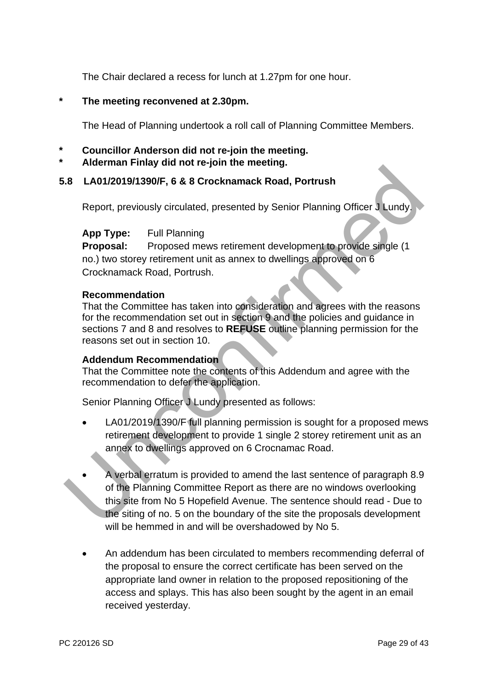The Chair declared a recess for lunch at 1.27pm for one hour.

## **\* The meeting reconvened at 2.30pm.**

The Head of Planning undertook a roll call of Planning Committee Members.

- **\* Councillor Anderson did not re-join the meeting.**
- **\* Alderman Finlay did not re-join the meeting.**

# **5.8 LA01/2019/1390/F, 6 & 8 Crocknamack Road, Portrush**

Report, previously circulated, presented by Senior Planning Officer J Lundy.

## **App Type:** Full Planning

**Proposal:** Proposed mews retirement development to provide single (1 no.) two storey retirement unit as annex to dwellings approved on 6 Crocknamack Road, Portrush.

#### **Recommendation**

That the Committee has taken into consideration and agrees with the reasons for the recommendation set out in section 9 and the policies and guidance in sections 7 and 8 and resolves to **REFUSE** outline planning permission for the reasons set out in section 10.

## **Addendum Recommendation**

That the Committee note the contents of this Addendum and agree with the recommendation to defer the application.

Senior Planning Officer J Lundy presented as follows:

- LA01/2019/1390/F full planning permission is sought for a proposed mews retirement development to provide 1 single 2 storey retirement unit as an annex to dwellings approved on 6 Crocnamac Road.
- A verbal erratum is provided to amend the last sentence of paragraph 8.9 of the Planning Committee Report as there are no windows overlooking this site from No 5 Hopefield Avenue. The sentence should read - Due to the siting of no. 5 on the boundary of the site the proposals development will be hemmed in and will be overshadowed by No 5. **Example 19 and 19 and 19 and 19 and 19 and 19 and 19 and 19 and 19 and 19 and 19 and 19 and 19 and 19 and 19 and 19 and 19 and 19 and 19 and 19 and 19 and 19 and 19 and 19 and 19 and 19 and 19 and 19 and 19 and 19 and 19** 
	- An addendum has been circulated to members recommending deferral of the proposal to ensure the correct certificate has been served on the appropriate land owner in relation to the proposed repositioning of the access and splays. This has also been sought by the agent in an email received yesterday.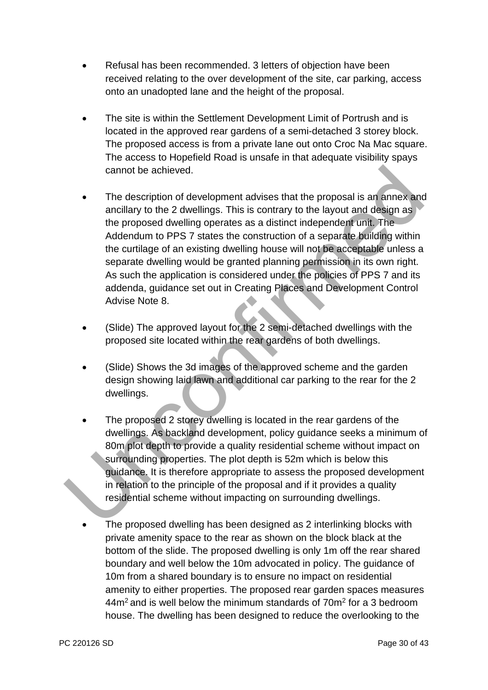- Refusal has been recommended. 3 letters of objection have been received relating to the over development of the site, car parking, access onto an unadopted lane and the height of the proposal.
- The site is within the Settlement Development Limit of Portrush and is located in the approved rear gardens of a semi-detached 3 storey block. The proposed access is from a private lane out onto Croc Na Mac square. The access to Hopefield Road is unsafe in that adequate visibility spays cannot be achieved.
- The description of development advises that the proposal is an annex and ancillary to the 2 dwellings. This is contrary to the layout and design as the proposed dwelling operates as a distinct independent unit. The Addendum to PPS 7 states the construction of a separate building within the curtilage of an existing dwelling house will not be acceptable unless a separate dwelling would be granted planning permission in its own right. As such the application is considered under the policies of PPS 7 and its addenda, guidance set out in Creating Places and Development Control Advise Note 8. cannot be achieved.<br>
The description of development advises that the proposal is an annex and<br>
ancillary to the 2 dwellings. This is contrary to the layout and design as<br>
the proposed dwelling operates as a distinct indepe
	- (Slide) The approved layout for the 2 semi-detached dwellings with the proposed site located within the rear gardens of both dwellings.
	- (Slide) Shows the 3d images of the approved scheme and the garden design showing laid lawn and additional car parking to the rear for the 2 dwellings.
	- The proposed 2 storey dwelling is located in the rear gardens of the dwellings. As backland development, policy guidance seeks a minimum of 80m plot depth to provide a quality residential scheme without impact on surrounding properties. The plot depth is 52m which is below this guidance. It is therefore appropriate to assess the proposed development in relation to the principle of the proposal and if it provides a quality residential scheme without impacting on surrounding dwellings.
	- The proposed dwelling has been designed as 2 interlinking blocks with private amenity space to the rear as shown on the block black at the bottom of the slide. The proposed dwelling is only 1m off the rear shared boundary and well below the 10m advocated in policy. The guidance of 10m from a shared boundary is to ensure no impact on residential amenity to either properties. The proposed rear garden spaces measures  $44m<sup>2</sup>$  and is well below the minimum standards of  $70m<sup>2</sup>$  for a 3 bedroom house. The dwelling has been designed to reduce the overlooking to the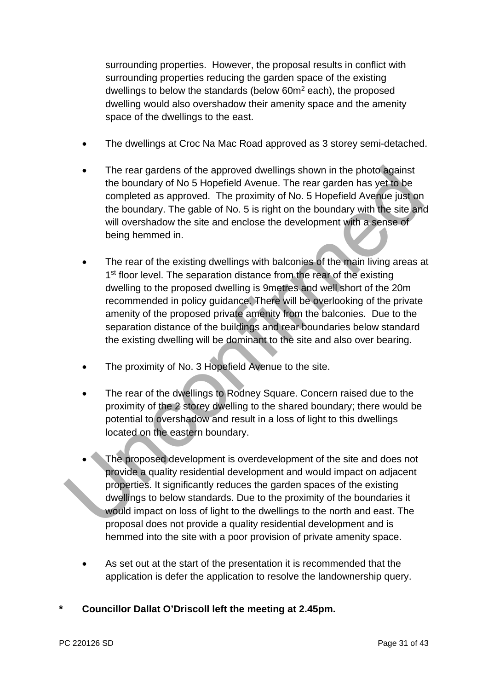surrounding properties. However, the proposal results in conflict with surrounding properties reducing the garden space of the existing dwellings to below the standards (below 60m<sup>2</sup> each), the proposed dwelling would also overshadow their amenity space and the amenity space of the dwellings to the east.

- The dwellings at Croc Na Mac Road approved as 3 storey semi-detached.
- The rear gardens of the approved dwellings shown in the photo against the boundary of No 5 Hopefield Avenue. The rear garden has yet to be completed as approved. The proximity of No. 5 Hopefield Avenue just on the boundary. The gable of No. 5 is right on the boundary with the site and will overshadow the site and enclose the development with a sense of being hemmed in.
- The rear of the existing dwellings with balconies of the main living areas at 1<sup>st</sup> floor level. The separation distance from the rear of the existing dwelling to the proposed dwelling is 9metres and well short of the 20m recommended in policy guidance. There will be overlooking of the private amenity of the proposed private amenity from the balconies. Due to the separation distance of the buildings and rear boundaries below standard the existing dwelling will be dominant to the site and also over bearing. • The rear gardens of the approved dwellings shown in the photo against<br>the boundary of No 5 Hopefield Avenue. The rear garden has yet to be<br>completed as approved. The proximity of No. 5 Hopefield Avenue just on<br>the bound
	- The proximity of No. 3 Hopefield Avenue to the site.
	- The rear of the dwellings to Rodney Square. Concern raised due to the proximity of the 2 storey dwelling to the shared boundary; there would be potential to overshadow and result in a loss of light to this dwellings located on the eastern boundary.
	- The proposed development is overdevelopment of the site and does not provide a quality residential development and would impact on adjacent properties. It significantly reduces the garden spaces of the existing dwellings to below standards. Due to the proximity of the boundaries it would impact on loss of light to the dwellings to the north and east. The proposal does not provide a quality residential development and is hemmed into the site with a poor provision of private amenity space.
	- As set out at the start of the presentation it is recommended that the application is defer the application to resolve the landownership query.
- **\* Councillor Dallat O'Driscoll left the meeting at 2.45pm.**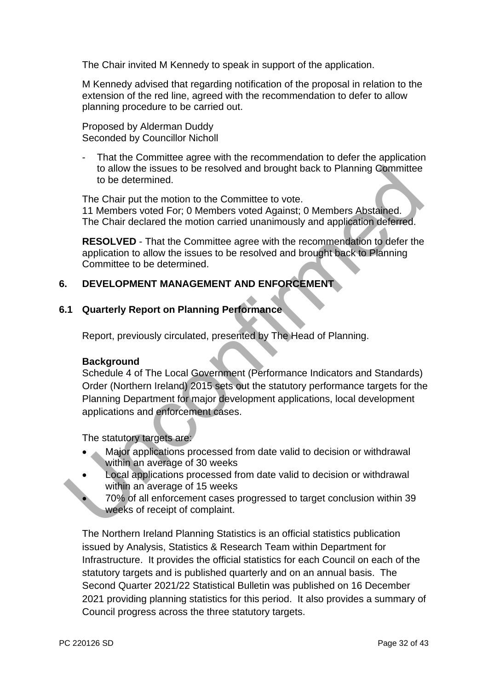The Chair invited M Kennedy to speak in support of the application.

M Kennedy advised that regarding notification of the proposal in relation to the extension of the red line, agreed with the recommendation to defer to allow planning procedure to be carried out.

Proposed by Alderman Duddy Seconded by Councillor Nicholl

That the Committee agree with the recommendation to defer the application to allow the issues to be resolved and brought back to Planning Committee to be determined.

The Chair put the motion to the Committee to vote. 11 Members voted For; 0 Members voted Against; 0 Members Abstained. The Chair declared the motion carried unanimously and application deferred.

**RESOLVED** - That the Committee agree with the recommendation to defer the application to allow the issues to be resolved and brought back to Planning Committee to be determined.

## **6. DEVELOPMENT MANAGEMENT AND ENFORCEMENT**

## **6.1 Quarterly Report on Planning Performance**

Report, previously circulated, presented by The Head of Planning.

#### **Background**

Schedule 4 of The Local Government (Performance Indicators and Standards) Order (Northern Ireland) 2015 sets out the statutory performance targets for the Planning Department for major development applications, local development applications and enforcement cases. to allow the issues to be resolved and brought back to Planning Committee<br>
to be determined.<br>
The Chair put the motion to the Committee to vote.<br>
11 Members voted For; 0 Members voted Against; 0 Members Abstained.<br>
The Cha

The statutory targets are:

- Major applications processed from date valid to decision or withdrawal within an average of 30 weeks
- Local applications processed from date valid to decision or withdrawal within an average of 15 weeks
	- 70% of all enforcement cases progressed to target conclusion within 39 weeks of receipt of complaint.

The Northern Ireland Planning Statistics is an official statistics publication issued by Analysis, Statistics & Research Team within Department for Infrastructure. It provides the official statistics for each Council on each of the statutory targets and is published quarterly and on an annual basis. The Second Quarter 2021/22 Statistical Bulletin was published on 16 December 2021 providing planning statistics for this period. It also provides a summary of Council progress across the three statutory targets.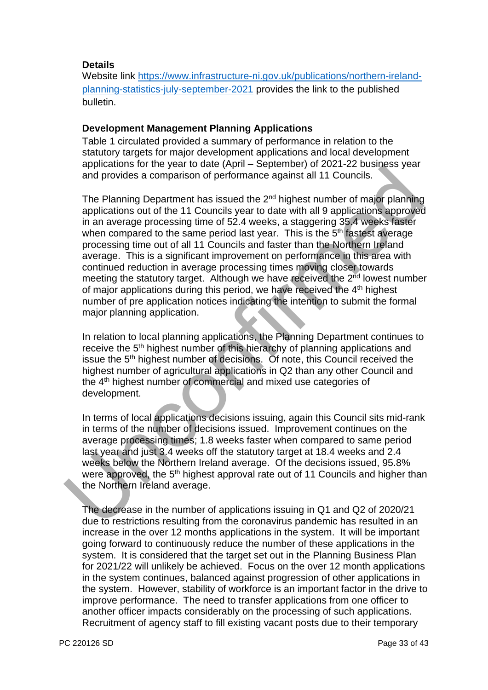#### **Details**

Website link [https://www.infrastructure-ni.gov.uk/publications/northern-ireland](https://www.infrastructure-ni.gov.uk/publications/northern-ireland-planning-statistics-july-september-2021)[planning-statistics-july-september-2021](https://www.infrastructure-ni.gov.uk/publications/northern-ireland-planning-statistics-july-september-2021) provides the link to the published bulletin.

#### **Development Management Planning Applications**

Table 1 circulated provided a summary of performance in relation to the statutory targets for major development applications and local development applications for the year to date (April – September) of 2021-22 business year and provides a comparison of performance against all 11 Councils.

The Planning Department has issued the 2<sup>nd</sup> highest number of major planning applications out of the 11 Councils year to date with all 9 applications approved in an average processing time of 52.4 weeks, a staggering 35.4 weeks faster when compared to the same period last year. This is the 5<sup>th</sup> fastest average processing time out of all 11 Councils and faster than the Northern Ireland average. This is a significant improvement on performance in this area with continued reduction in average processing times moving closer towards meeting the statutory target. Although we have received the 2<sup>nd</sup> lowest number of major applications during this period, we have received the 4<sup>th</sup> highest number of pre application notices indicating the intention to submit the formal major planning application. applications of the read of the control and the principle in the season control of particulas.<br>The Planning Department has issued the  $2^{n6}$  highest number of major planning applications out of the 11 Councils year to da

In relation to local planning applications, the Planning Department continues to receive the 5<sup>th</sup> highest number of this hierarchy of planning applications and issue the 5<sup>th</sup> highest number of decisions. Of note, this Council received the highest number of agricultural applications in Q2 than any other Council and the 4th highest number of commercial and mixed use categories of development.

In terms of local applications decisions issuing, again this Council sits mid-rank in terms of the number of decisions issued. Improvement continues on the average processing times; 1.8 weeks faster when compared to same period last year and just 3.4 weeks off the statutory target at 18.4 weeks and 2.4 weeks below the Northern Ireland average. Of the decisions issued, 95.8% were approved, the 5<sup>th</sup> highest approval rate out of 11 Councils and higher than the Northern Ireland average.

The decrease in the number of applications issuing in Q1 and Q2 of 2020/21 due to restrictions resulting from the coronavirus pandemic has resulted in an increase in the over 12 months applications in the system. It will be important going forward to continuously reduce the number of these applications in the system. It is considered that the target set out in the Planning Business Plan for 2021/22 will unlikely be achieved. Focus on the over 12 month applications in the system continues, balanced against progression of other applications in the system. However, stability of workforce is an important factor in the drive to improve performance. The need to transfer applications from one officer to another officer impacts considerably on the processing of such applications. Recruitment of agency staff to fill existing vacant posts due to their temporary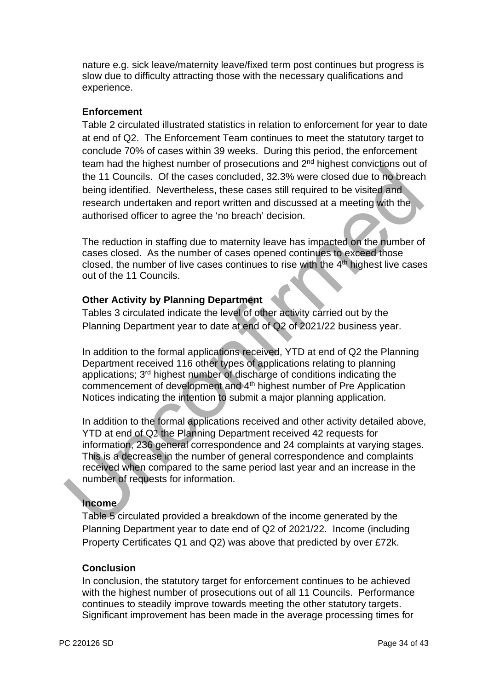nature e.g. sick leave/maternity leave/fixed term post continues but progress is slow due to difficulty attracting those with the necessary qualifications and experience.

## **Enforcement**

Table 2 circulated illustrated statistics in relation to enforcement for year to date at end of Q2. The Enforcement Team continues to meet the statutory target to conclude 70% of cases within 39 weeks. During this period, the enforcement team had the highest number of prosecutions and 2nd highest convictions out of the 11 Councils. Of the cases concluded, 32.3% were closed due to no breach being identified. Nevertheless, these cases still required to be visited and research undertaken and report written and discussed at a meeting with the authorised officer to agree the 'no breach' decision.

The reduction in staffing due to maternity leave has impacted on the number of cases closed. As the number of cases opened continues to exceed those closed, the number of live cases continues to rise with the  $4<sup>th</sup>$  highest live cases out of the 11 Councils.

## **Other Activity by Planning Department**

Tables 3 circulated indicate the level of other activity carried out by the Planning Department year to date at end of Q2 of 2021/22 business year.

In addition to the formal applications received, YTD at end of Q2 the Planning Department received 116 other types of applications relating to planning applications; 3rd highest number of discharge of conditions indicating the commencement of development and 4<sup>th</sup> highest number of Pre Application Notices indicating the intention to submit a major planning application.

In addition to the formal applications received and other activity detailed above, YTD at end of Q2 the Planning Department received 42 requests for information, 236 general correspondence and 24 complaints at varying stages. This is a decrease in the number of general correspondence and complaints received when compared to the same period last year and an increase in the number of requests for information. the initial we implease that the total and a state and a state of the income solution is a state of the cases concluded, 32.3% were closed due to no breach being identified. Nevertheless, these cases still required to be v

# **Income**

Table 5 circulated provided a breakdown of the income generated by the Planning Department year to date end of Q2 of 2021/22. Income (including Property Certificates Q1 and Q2) was above that predicted by over £72k.

## **Conclusion**

In conclusion, the statutory target for enforcement continues to be achieved with the highest number of prosecutions out of all 11 Councils. Performance continues to steadily improve towards meeting the other statutory targets. Significant improvement has been made in the average processing times for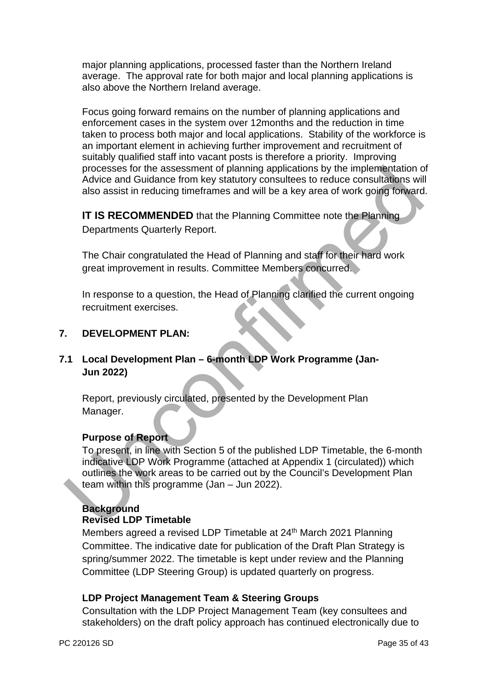major planning applications, processed faster than the Northern Ireland average. The approval rate for both major and local planning applications is also above the Northern Ireland average.

Focus going forward remains on the number of planning applications and enforcement cases in the system over 12months and the reduction in time taken to process both major and local applications. Stability of the workforce is an important element in achieving further improvement and recruitment of suitably qualified staff into vacant posts is therefore a priority. Improving processes for the assessment of planning applications by the implementation of Advice and Guidance from key statutory consultees to reduce consultations will also assist in reducing timeframes and will be a key area of work going forward.

**IT IS RECOMMENDED** that the Planning Committee note the Planning Departments Quarterly Report.

The Chair congratulated the Head of Planning and staff for their hard work great improvement in results. Committee Members concurred.

In response to a question, the Head of Planning clarified the current ongoing recruitment exercises.

## **7. DEVELOPMENT PLAN:**

# **7.1 Local Development Plan – 6-month LDP Work Programme (Jan-Jun 2022)**

Report, previously circulated, presented by the Development Plan Manager.

## **Purpose of Report**

To present, in line with Section 5 of the published LDP Timetable, the 6-month indicative LDP Work Programme (attached at Appendix 1 (circulated)) which outlines the work areas to be carried out by the Council's Development Plan team within this programme (Jan – Jun 2022). processes for the assessment of planning applications by the implementation<br>Advice and Guidance from key statutory consultees to reduce consultations wil<br>also assist in reducing timeframes and will be a key area of work go

## **Background**

## **Revised LDP Timetable**

Members agreed a revised LDP Timetable at 24<sup>th</sup> March 2021 Planning Committee. The indicative date for publication of the Draft Plan Strategy is spring/summer 2022. The timetable is kept under review and the Planning Committee (LDP Steering Group) is updated quarterly on progress.

#### **LDP Project Management Team & Steering Groups**

Consultation with the LDP Project Management Team (key consultees and stakeholders) on the draft policy approach has continued electronically due to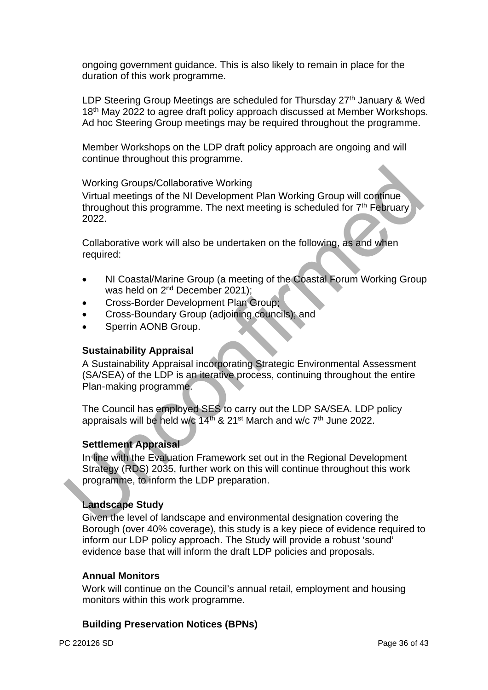ongoing government guidance. This is also likely to remain in place for the duration of this work programme.

LDP Steering Group Meetings are scheduled for Thursday 27<sup>th</sup> January & Wed 18<sup>th</sup> May 2022 to agree draft policy approach discussed at Member Workshops. Ad hoc Steering Group meetings may be required throughout the programme.

Member Workshops on the LDP draft policy approach are ongoing and will continue throughout this programme.

#### Working Groups/Collaborative Working

Virtual meetings of the NI Development Plan Working Group will continue throughout this programme. The next meeting is scheduled for  $7<sup>th</sup>$  February 2022.

Collaborative work will also be undertaken on the following, as and when required:

- NI Coastal/Marine Group (a meeting of the Coastal Forum Working Group was held on 2<sup>nd</sup> December 2021);
- Cross-Border Development Plan Group;
- Cross-Boundary Group (adjoining councils); and
- Sperrin AONB Group.

#### **Sustainability Appraisal**

A Sustainability Appraisal incorporating Strategic Environmental Assessment (SA/SEA) of the LDP is an iterative process, continuing throughout the entire Plan-making programme.

The Council has employed SES to carry out the LDP SA/SEA. LDP policy appraisals will be held w/c 14<sup>th</sup> & 21<sup>st</sup> March and w/c 7<sup>th</sup> June 2022.

#### **Settlement Appraisal**

In line with the Evaluation Framework set out in the Regional Development Strategy (RDS) 2035, further work on this will continue throughout this work programme, to inform the LDP preparation. Working Groups/Collaborative Working<br>
Virtual meetings of the NI Development Plan Working Group will continue<br>
throughout this programme. The next meeting is scheduled for  $7^n$  February<br>
2022.<br>
Collaborative work will als

## **Landscape Study**

Given the level of landscape and environmental designation covering the Borough (over 40% coverage), this study is a key piece of evidence required to inform our LDP policy approach. The Study will provide a robust 'sound' evidence base that will inform the draft LDP policies and proposals.

#### **Annual Monitors**

Work will continue on the Council's annual retail, employment and housing monitors within this work programme.

## **Building Preservation Notices (BPNs)**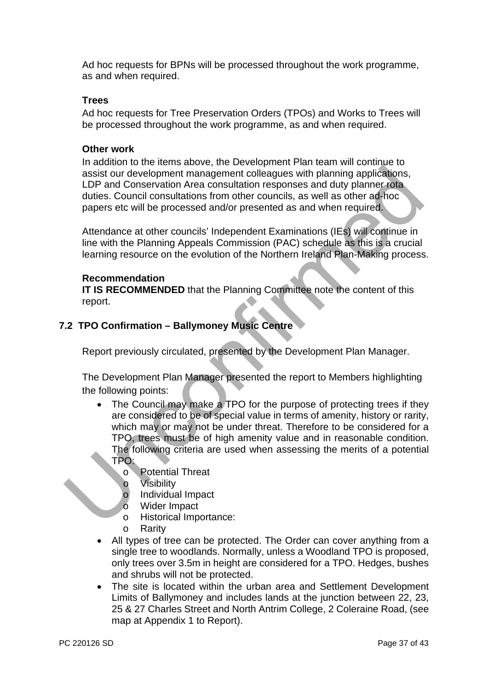Ad hoc requests for BPNs will be processed throughout the work programme, as and when required.

#### **Trees**

Ad hoc requests for Tree Preservation Orders (TPOs) and Works to Trees will be processed throughout the work programme, as and when required.

#### **Other work**

In addition to the items above, the Development Plan team will continue to assist our development management colleagues with planning applications, LDP and Conservation Area consultation responses and duty planner rota duties. Council consultations from other councils, as well as other ad-hoc papers etc will be processed and/or presented as and when required.

Attendance at other councils' Independent Examinations (IEs) will continue in line with the Planning Appeals Commission (PAC) schedule as this is a crucial learning resource on the evolution of the Northern Ireland Plan-Making process.

#### **Recommendation**

**IT IS RECOMMENDED** that the Planning Committee note the content of this report.

## **7.2 TPO Confirmation – Ballymoney Music Centre**

Report previously circulated, presented by the Development Plan Manager.

The Development Plan Manager presented the report to Members highlighting the following points:

- The Council may make a TPO for the purpose of protecting trees if they are considered to be of special value in terms of amenity, history or rarity, which may or may not be under threat. Therefore to be considered for a TPO, trees must be of high amenity value and in reasonable condition. The following criteria are used when assessing the merits of a potential TPO: metrical conservation Area consultation responses and diviplement consultations,<br>assist our development management colleagues with planning applications,<br>these. Council consultations from other councils, as well as other a
	- o Potential Threat
	- o Visibility
	- o Individual Impact
	- o Wider Impact
	- o Historical Importance:
	- o Rarity
	- All types of tree can be protected. The Order can cover anything from a single tree to woodlands. Normally, unless a Woodland TPO is proposed, only trees over 3.5m in height are considered for a TPO. Hedges, bushes and shrubs will not be protected.
	- The site is located within the urban area and Settlement Development Limits of Ballymoney and includes lands at the junction between 22, 23, 25 & 27 Charles Street and North Antrim College, 2 Coleraine Road, (see map at Appendix 1 to Report).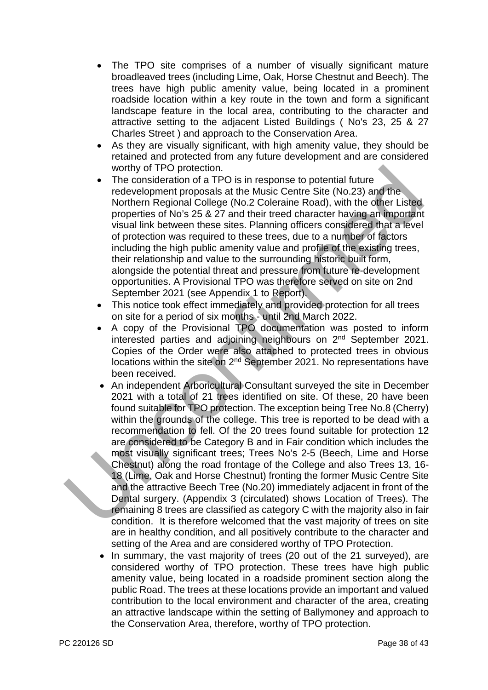- The TPO site comprises of a number of visually significant mature broadleaved trees (including Lime, Oak, Horse Chestnut and Beech). The trees have high public amenity value, being located in a prominent roadside location within a key route in the town and form a significant landscape feature in the local area, contributing to the character and attractive setting to the adjacent Listed Buildings ( No's 23, 25 & 27 Charles Street ) and approach to the Conservation Area.
- As they are visually significant, with high amenity value, they should be retained and protected from any future development and are considered worthy of TPO protection.
- The consideration of a TPO is in response to potential future redevelopment proposals at the Music Centre Site (No.23) and the Northern Regional College (No.2 Coleraine Road), with the other Listed properties of No's 25 & 27 and their treed character having an important visual link between these sites. Planning officers considered that a level of protection was required to these trees, due to a number of factors including the high public amenity value and profile of the existing trees, their relationship and value to the surrounding historic built form, alongside the potential threat and pressure from future re-development opportunities. A Provisional TPO was therefore served on site on 2nd September 2021 (see Appendix 1 to Report).
- This notice took effect immediately and provided protection for all trees on site for a period of six months - until 2nd March 2022.
- A copy of the Provisional TPO documentation was posted to inform interested parties and adjoining neighbours on 2nd September 2021. Copies of the Order were also attached to protected trees in obvious locations within the site on 2<sup>nd</sup> September 2021. No representations have been received.
- An independent Arboricultural Consultant surveyed the site in December 2021 with a total of 21 trees identified on site. Of these, 20 have been found suitable for TPO protection. The exception being Tree No.8 (Cherry) within the grounds of the college. This tree is reported to be dead with a recommendation to fell. Of the 20 trees found suitable for protection 12 are considered to be Category B and in Fair condition which includes the most visually significant trees; Trees No's 2-5 (Beech, Lime and Horse Chestnut) along the road frontage of the College and also Trees 13, 16- 18 (Lime, Oak and Horse Chestnut) fronting the former Music Centre Site and the attractive Beech Tree (No.20) immediately adjacent in front of the Dental surgery. (Appendix 3 (circulated) shows Location of Trees). The remaining 8 trees are classified as category C with the majority also in fair condition. It is therefore welcomed that the vast majority of trees on site are in healthy condition, and all positively contribute to the character and setting of the Area and are considered worthy of TPO Protection. which of TPO protection.<br>
The consideration of a TPO is in response to potential future<br>
relaxeled properties of No's 25 & 27 and their treed character having an important<br>
notherm Regional College (No.2 Collerative Road)
	- In summary, the vast majority of trees (20 out of the 21 surveyed), are considered worthy of TPO protection. These trees have high public amenity value, being located in a roadside prominent section along the public Road. The trees at these locations provide an important and valued contribution to the local environment and character of the area, creating an attractive landscape within the setting of Ballymoney and approach to the Conservation Area, therefore, worthy of TPO protection.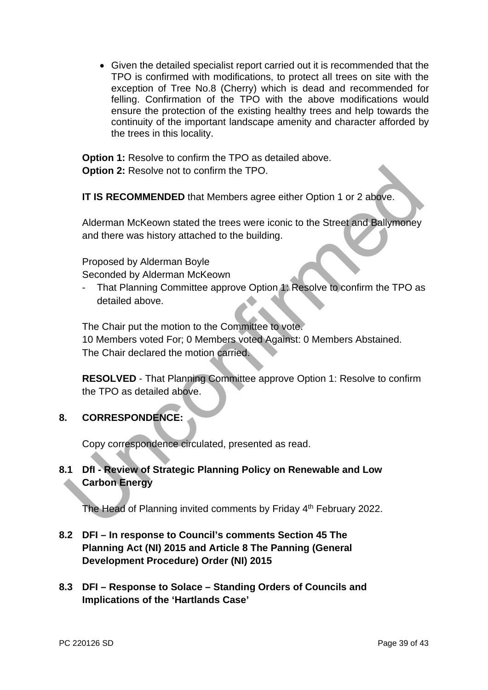Given the detailed specialist report carried out it is recommended that the TPO is confirmed with modifications, to protect all trees on site with the exception of Tree No.8 (Cherry) which is dead and recommended for felling. Confirmation of the TPO with the above modifications would ensure the protection of the existing healthy trees and help towards the continuity of the important landscape amenity and character afforded by the trees in this locality.

**Option 1:** Resolve to confirm the TPO as detailed above. **Option 2:** Resolve not to confirm the TPO.

**IT IS RECOMMENDED** that Members agree either Option 1 or 2 above.

Alderman McKeown stated the trees were iconic to the Street and Ballymoney and there was history attached to the building.

Proposed by Alderman Boyle

Seconded by Alderman McKeown

That Planning Committee approve Option 1: Resolve to confirm the TPO as detailed above.

The Chair put the motion to the Committee to vote. 10 Members voted For; 0 Members voted Against: 0 Members Abstained. The Chair declared the motion carried. Option 2: Resolve not to confirm the TPO.<br>
IT IS RECOMMENDED that Members agree either Option 1 or 2 above.<br>
Alderman McKeown stated the trees were iconic to the Street and Bailymoney<br>
and there was history attached to the

**RESOLVED** - That Planning Committee approve Option 1: Resolve to confirm the TPO as detailed above.

# **8. CORRESPONDENCE:**

Copy correspondence circulated, presented as read.

# **8.1 DfI - Review of Strategic Planning Policy on Renewable and Low Carbon Energy**

The Head of Planning invited comments by Friday 4<sup>th</sup> February 2022.

# **8.2 DFI – In response to Council's comments Section 45 The Planning Act (NI) 2015 and Article 8 The Panning (General Development Procedure) Order (NI) 2015**

**8.3 DFI – Response to Solace – Standing Orders of Councils and Implications of the 'Hartlands Case'**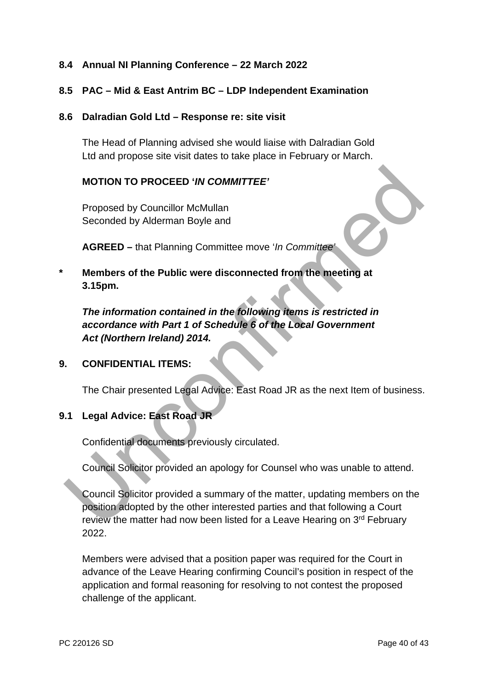## **8.4 Annual NI Planning Conference – 22 March 2022**

## **8.5 PAC – Mid & East Antrim BC – LDP Independent Examination**

#### **8.6 Dalradian Gold Ltd – Response re: site visit**

The Head of Planning advised she would liaise with Dalradian Gold Ltd and propose site visit dates to take place in February or March.

## **MOTION TO PROCEED '***IN COMMITTEE'*

Proposed by Councillor McMullan Seconded by Alderman Boyle and

**AGREED –** that Planning Committee move '*In Committee'* 

**\* Members of the Public were disconnected from the meeting at 3.15pm.** 

*The information contained in the following items is restricted in accordance with Part 1 of Schedule 6 of the Local Government Act (Northern Ireland) 2014.*

## **9. CONFIDENTIAL ITEMS:**

The Chair presented Legal Advice: East Road JR as the next Item of business.

## **9.1 Legal Advice: East Road JR**

Confidential documents previously circulated.

Council Solicitor provided an apology for Counsel who was unable to attend.

Council Solicitor provided a summary of the matter, updating members on the position adopted by the other interested parties and that following a Court review the matter had now been listed for a Leave Hearing on 3<sup>rd</sup> February 2022. MOTION TO PROCEED '*IN COMMITTEE'*<br>
Proposed by Councillor McMullan<br>
Seconded by Alderman Boyle and<br>
AGREED – that Planning Committee move '*In Committee'*<br>
Members of the Public were disconnected from the meeting at<br>
3.15

Members were advised that a position paper was required for the Court in advance of the Leave Hearing confirming Council's position in respect of the application and formal reasoning for resolving to not contest the proposed challenge of the applicant.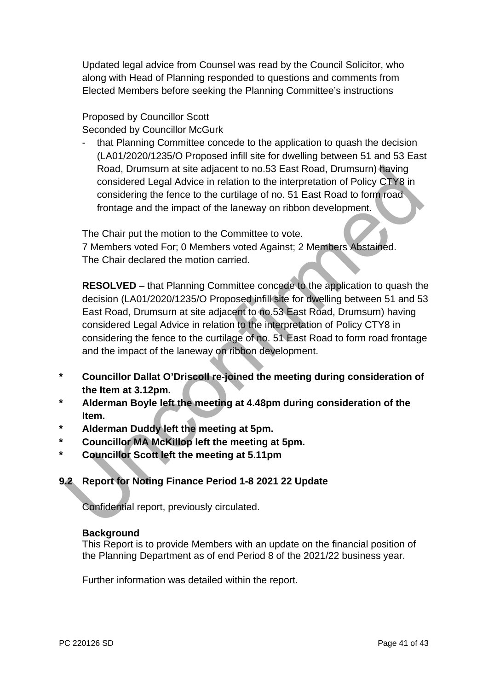Updated legal advice from Counsel was read by the Council Solicitor, who along with Head of Planning responded to questions and comments from Elected Members before seeking the Planning Committee's instructions

## Proposed by Councillor Scott Seconded by Councillor McGurk

- that Planning Committee concede to the application to quash the decision (LA01/2020/1235/O Proposed infill site for dwelling between 51 and 53 East Road, Drumsurn at site adjacent to no.53 East Road, Drumsurn) having considered Legal Advice in relation to the interpretation of Policy CTY8 in considering the fence to the curtilage of no. 51 East Road to form road frontage and the impact of the laneway on ribbon development.

The Chair put the motion to the Committee to vote.

7 Members voted For; 0 Members voted Against; 2 Members Abstained. The Chair declared the motion carried.

**RESOLVED** – that Planning Committee concede to the application to quash the decision (LA01/2020/1235/O Proposed infill site for dwelling between 51 and 53 East Road, Drumsurn at site adjacent to no.53 East Road, Drumsurn) having considered Legal Advice in relation to the interpretation of Policy CTY8 in considering the fence to the curtilage of no. 51 East Road to form road frontage and the impact of the laneway on ribbon development. Road, Drumsum at site adjacent to no.53 East Road, Drumsum) fiaving<br>considered Legal Advice in relation to the interpretation of Policy CTY&<br>considering the fence to the curtilage of no. 51 East Road to form foad<br>frontage

- **\* Councillor Dallat O'Driscoll re-joined the meeting during consideration of the Item at 3.12pm.**
- **\* Alderman Boyle left the meeting at 4.48pm during consideration of the Item.**
- **\* Alderman Duddy left the meeting at 5pm.**
- **\* Councillor MA McKillop left the meeting at 5pm.**
- **\* Councillor Scott left the meeting at 5.11pm**

# **9.2 Report for Noting Finance Period 1-8 2021 22 Update**

Confidential report, previously circulated.

## **Background**

This Report is to provide Members with an update on the financial position of the Planning Department as of end Period 8 of the 2021/22 business year.

Further information was detailed within the report.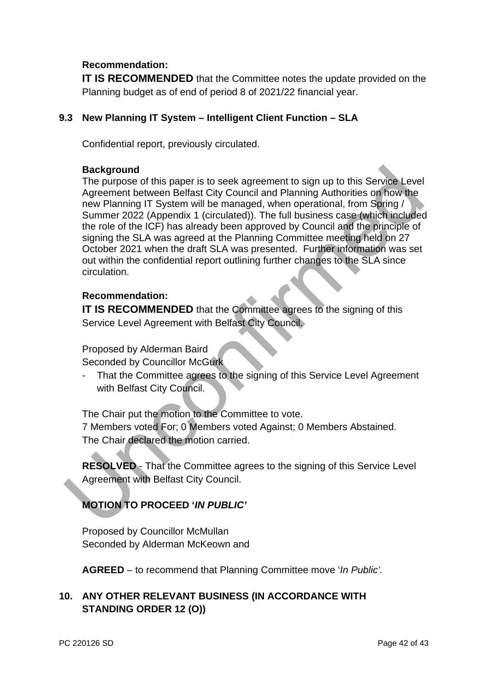## **Recommendation:**

**IT IS RECOMMENDED** that the Committee notes the update provided on the Planning budget as of end of period 8 of 2021/22 financial year.

## **9.3 New Planning IT System – Intelligent Client Function – SLA**

Confidential report, previously circulated.

#### **Background**

The purpose of this paper is to seek agreement to sign up to this Service Level Agreement between Belfast City Council and Planning Authorities on how the new Planning IT System will be managed, when operational, from Spring / Summer 2022 (Appendix 1 (circulated)). The full business case (which included the role of the ICF) has already been approved by Council and the principle of signing the SLA was agreed at the Planning Committee meeting held on 27 October 2021 when the draft SLA was presented. Further information was set out within the confidential report outlining further changes to the SLA since circulation. Background<br>
The purpose of this paper is to seek agreement to sign up to this Service Level<br>
The purpose of this paper is to seek agreement to sign up to this Service Level<br>
Agreement between Belfast City Council and Plann

## **Recommendation:**

**IT IS RECOMMENDED** that the Committee agrees to the signing of this Service Level Agreement with Belfast City Council.

Proposed by Alderman Baird

Seconded by Councillor McGurk

That the Committee agrees to the signing of this Service Level Agreement with Belfast City Council.

The Chair put the motion to the Committee to vote.

7 Members voted For; 0 Members voted Against; 0 Members Abstained. The Chair declared the motion carried.

**RESOLVED** - That the Committee agrees to the signing of this Service Level Agreement with Belfast City Council.

# **MOTION TO PROCEED '***IN PUBLIC'*

Proposed by Councillor McMullan Seconded by Alderman McKeown and

**AGREED** – to recommend that Planning Committee move '*In Public'.*

# **10. ANY OTHER RELEVANT BUSINESS (IN ACCORDANCE WITH STANDING ORDER 12 (O))**